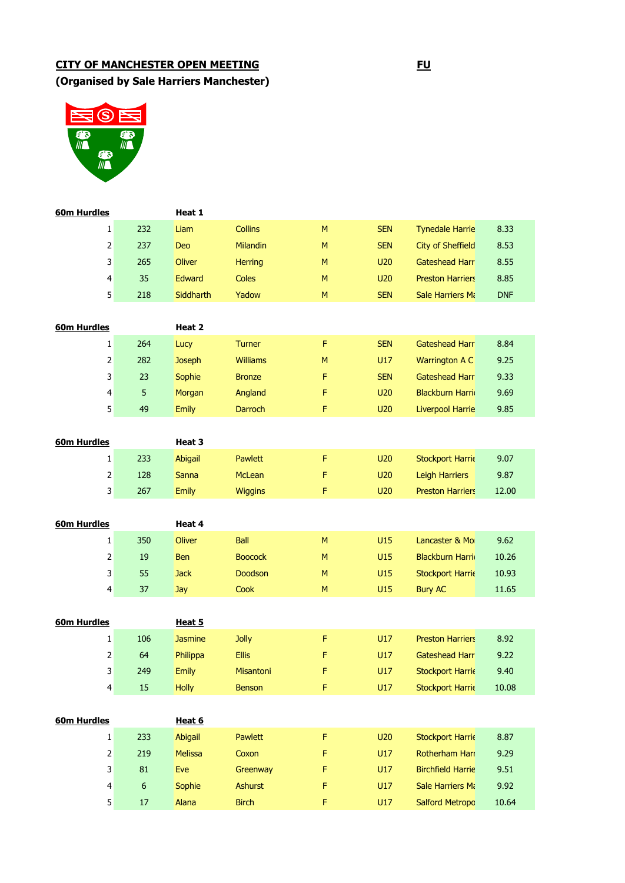# **CITY OF MANCHESTER OPEN MEETING FU**

**(Organised by Sale Harriers Manchester)**



| 60m Hurdles        |            | Heat 1           |                 |   |            |                          |            |
|--------------------|------------|------------------|-----------------|---|------------|--------------------------|------------|
| 1                  | 232        | Liam             | <b>Collins</b>  | M | <b>SEN</b> | <b>Tynedale Harrie</b>   | 8.33       |
| $\mathbf 2$        | 237        | <b>Deo</b>       | Milandin        | M | <b>SEN</b> | <b>City of Sheffield</b> | 8.53       |
| 3                  | 265        | <b>Oliver</b>    | <b>Herring</b>  | M | <b>U20</b> | <b>Gateshead Harr</b>    | 8.55       |
| $\overline{4}$     | 35         | Edward           | Coles           | M | <b>U20</b> | <b>Preston Harriers</b>  | 8.85       |
| 5                  | 218        | <b>Siddharth</b> | Yadow           | M | <b>SEN</b> | <b>Sale Harriers Mi</b>  | <b>DNF</b> |
|                    |            |                  |                 |   |            |                          |            |
| 60m Hurdles        |            | Heat 2           |                 |   |            |                          |            |
| 1                  | 264        | Lucy             | <b>Turner</b>   | F | <b>SEN</b> | <b>Gateshead Harr</b>    | 8.84       |
| $\mathbf 2$        | 282        | <b>Joseph</b>    | <b>Williams</b> | M | U17        | Warrington A C           | 9.25       |
| 3                  | 23         | <b>Sophie</b>    | <b>Bronze</b>   | F | <b>SEN</b> | <b>Gateshead Harr</b>    | 9.33       |
| $\overline{4}$     | 5          | Morgan           | Angland         | F | U20        | <b>Blackburn Harri</b>   | 9.69       |
| 5                  | 49         | <b>Emily</b>     | Darroch         | F | U20        | Liverpool Harrie         | 9.85       |
|                    |            |                  |                 |   |            |                          |            |
| <b>60m Hurdles</b> |            | Heat 3           |                 |   |            |                          |            |
| 1                  | 233        | <b>Abigail</b>   | Pawlett         | F | U20        | <b>Stockport Harrie</b>  | 9.07       |
| $\mathbf 2$        | 128        | <b>Sanna</b>     | <b>McLean</b>   | F | U20        | Leigh Harriers           | 9.87       |
| 3                  | 267        | <b>Emily</b>     | <b>Wiggins</b>  | F | U20        | <b>Preston Harriers</b>  | 12.00      |
|                    |            |                  |                 |   |            |                          |            |
|                    |            |                  |                 |   |            |                          |            |
| <b>60m Hurdles</b> |            | Heat 4           |                 |   |            |                          |            |
| $\mathbf{1}$       | 350        | <b>Oliver</b>    | <b>Ball</b>     | M | U15        | Lancaster & Mo           | 9.62       |
| $\overline{2}$     | 19         | Ben              | <b>Boocock</b>  | M | U15        | <b>Blackburn Harri</b>   | 10.26      |
| 3                  | 55         | <b>Jack</b>      | Doodson         | M | U15        | <b>Stockport Harrie</b>  | 10.93      |
| $\overline{4}$     | 37         | Jay              | Cook            | M | U15        | <b>Bury AC</b>           | 11.65      |
|                    |            |                  |                 |   |            |                          |            |
| <b>60m Hurdles</b> |            | Heat 5           |                 |   |            |                          |            |
| 1                  | 106        | <b>Jasmine</b>   | Jolly           | F | U17        | <b>Preston Harriers</b>  | 8.92       |
| $\mathbf 2$        | 64         | Philippa         | <b>Ellis</b>    | F | U17        | <b>Gateshead Harr</b>    | 9.22       |
| 3                  | 249        | <b>Emily</b>     | Misantoni       | F | U17        | <b>Stockport Harrie</b>  | 9.40       |
| 4                  | 15         | <b>Holly</b>     | Benson          | F | U17        | <b>Stockport Harrie</b>  | 10.08      |
|                    |            |                  |                 |   |            |                          |            |
| 60m Hurdles        |            | Heat 6           |                 |   |            |                          |            |
| $\mathbf 1$        | 233        | <b>Abigail</b>   | Pawlett         | F | <b>U20</b> | <b>Stockport Harrie</b>  | 8.87       |
| $\overline{2}$     | 219        | <b>Melissa</b>   | Coxon           | F | U17        | Rotherham Hari           | 9.29       |
| 3                  | ${\bf 81}$ | Eve              | Greenway        | F | U17        | <b>Birchfield Harrie</b> | 9.51       |
| 4                  | 6          | Sophie           | <b>Ashurst</b>  | F | U17        | Sale Harriers Mi         | 9.92       |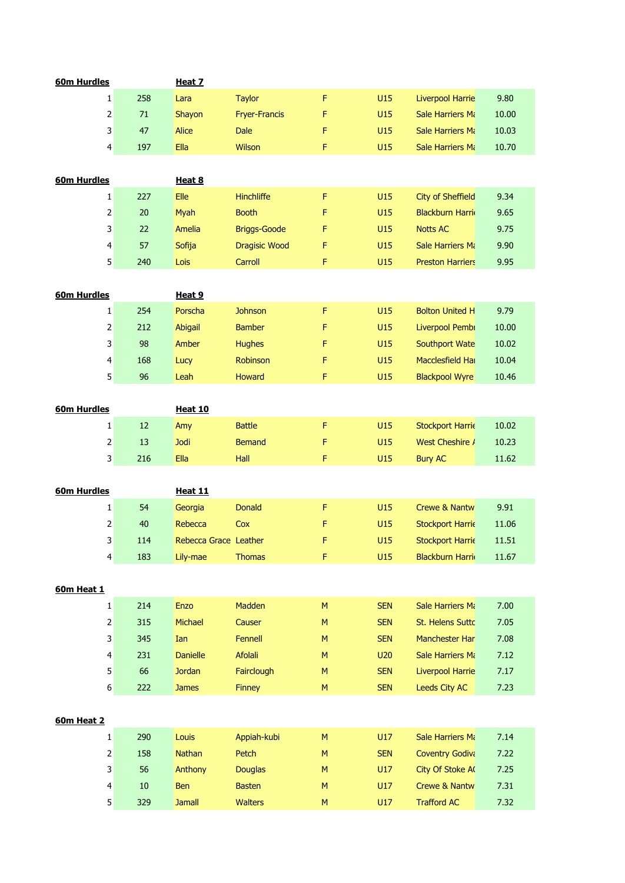| 60m Hurdles        |                         |        | Heat 7                |                      |           |            |                          |       |
|--------------------|-------------------------|--------|-----------------------|----------------------|-----------|------------|--------------------------|-------|
|                    | $\mathbf{1}$            | 258    | Lara                  | <b>Taylor</b>        | F         | U15        | <b>Liverpool Harrie</b>  | 9.80  |
|                    | 2                       | $71\,$ | Shayon                | <b>Fryer-Francis</b> | F         | U15        | <b>Sale Harriers Mi</b>  | 10.00 |
|                    | 3                       | 47     | <b>Alice</b>          | <b>Dale</b>          | F         | U15        | <b>Sale Harriers Ma</b>  | 10.03 |
|                    | 4                       | 197    | Ella                  | Wilson               | F         | U15        | Sale Harriers Ma         | 10.70 |
|                    |                         |        |                       |                      |           |            |                          |       |
| 60m Hurdles        |                         |        | Heat 8                |                      |           |            |                          |       |
|                    | $\mathbf{1}$            | 227    | Elle                  | Hinchliffe           | F         | U15        | <b>City of Sheffield</b> | 9.34  |
|                    | 2                       | 20     | Myah                  | <b>Booth</b>         | F         | U15        | <b>Blackburn Harri</b>   | 9.65  |
|                    | 3                       | 22     | Amelia                | <b>Briggs-Goode</b>  | F         | U15        | <b>Notts AC</b>          | 9.75  |
|                    | 4                       | 57     | Sofija                | <b>Dragisic Wood</b> | F         | U15        | Sale Harriers Mi         | 9.90  |
|                    | 5                       | 240    | Lois                  | Carroll              | F         | U15        | <b>Preston Harriers</b>  | 9.95  |
|                    |                         |        |                       |                      |           |            |                          |       |
| <b>60m Hurdles</b> |                         |        | Heat 9                |                      |           |            |                          |       |
|                    | $\mathbf{1}$            | 254    | Porscha               | <b>Johnson</b>       | F         | U15        | <b>Bolton United H</b>   | 9.79  |
|                    | $\overline{\mathbf{c}}$ | 212    | Abigail               | <b>Bamber</b>        | F         | U15        | Liverpool Pembi          | 10.00 |
|                    | 3                       | 98     | Amber                 | <b>Hughes</b>        | F         | U15        | <b>Southport Wate</b>    | 10.02 |
|                    | 4                       | 168    | Lucy                  | Robinson             | F         | U15        | Macclesfield Hall        | 10.04 |
|                    | 5                       | 96     | Leah                  | Howard               | F         | U15        | <b>Blackpool Wyre</b>    | 10.46 |
|                    |                         |        |                       |                      |           |            |                          |       |
| 60m Hurdles        |                         |        | <b>Heat 10</b>        |                      |           |            |                          |       |
|                    | $\mathbf{1}$            | 12     | Amy                   | <b>Battle</b>        | F         | U15        | <b>Stockport Harrie</b>  | 10.02 |
|                    | 2                       | 13     | <b>Jodi</b>           | <b>Bemand</b>        | F         | U15        | West Cheshire /          | 10.23 |
|                    | 3                       | 216    | Ella                  | Hall                 | F         | U15        | <b>Bury AC</b>           | 11.62 |
|                    |                         |        |                       |                      |           |            |                          |       |
| <b>60m Hurdles</b> |                         |        | <b>Heat 11</b>        |                      |           |            |                          |       |
|                    | 1                       | 54     | Georgia               | <b>Donald</b>        | F         | U15        | <b>Crewe &amp; Nantw</b> | 9.91  |
|                    | 2                       | 40     | Rebecca               | Cox                  | F         | U15        | <b>Stockport Harrie</b>  | 11.06 |
|                    | 3                       | 114    | Rebecca Grace Leather |                      | F         | U15        | <b>Stockport Harrie</b>  | 11.51 |
|                    | 4                       | 183    | Lily-mae              | <b>Thomas</b>        | F         | U15        | <b>Blackburn Harri</b>   | 11.67 |
|                    |                         |        |                       |                      |           |            |                          |       |
| 60m Heat 1         |                         |        |                       |                      |           |            |                          |       |
|                    | $\mathbf 1$             | 214    | Enzo                  | Madden               | M         | <b>SEN</b> | Sale Harriers Ma         | 7.00  |
|                    | $\mathbf{2}$            | 315    | Michael               | Causer               | M         | <b>SEN</b> | St. Helens Sutto         | 7.05  |
|                    |                         | 345    | Ian                   |                      | M         | <b>SEN</b> | Manchester Har           |       |
|                    | 3                       |        |                       | Fennell              |           |            |                          | 7.08  |
|                    | 4                       | 231    | <b>Danielle</b>       | Afolali              | M         | <b>U20</b> | Sale Harriers Mi         | 7.12  |
|                    | 5                       | 66     | <b>Jordan</b>         | Fairclough           | M         | <b>SEN</b> | Liverpool Harrie         | 7.17  |
|                    | 6                       | 222    | <b>James</b>          | Finney               | ${\sf M}$ | <b>SEN</b> | Leeds City AC            | 7.23  |
|                    |                         |        |                       |                      |           |            |                          |       |
| 60m Heat 2         |                         |        |                       |                      |           |            |                          |       |
|                    | $\mathbf{1}$            | 290    | Louis                 | Appiah-kubi          | ${\sf M}$ | U17        | Sale Harriers Mi         | 7.14  |
|                    | 2                       | 158    | Nathan                | Petch                | M         | <b>SEN</b> | <b>Coventry Godiva</b>   | 7.22  |
|                    | 3                       | 56     | Anthony               | <b>Douglas</b>       | M         | U17        | City Of Stoke A          | 7.25  |
|                    | 4                       | $10\,$ | <b>Ben</b>            | <b>Basten</b>        | M         | U17        | <b>Crewe &amp; Nantw</b> | 7.31  |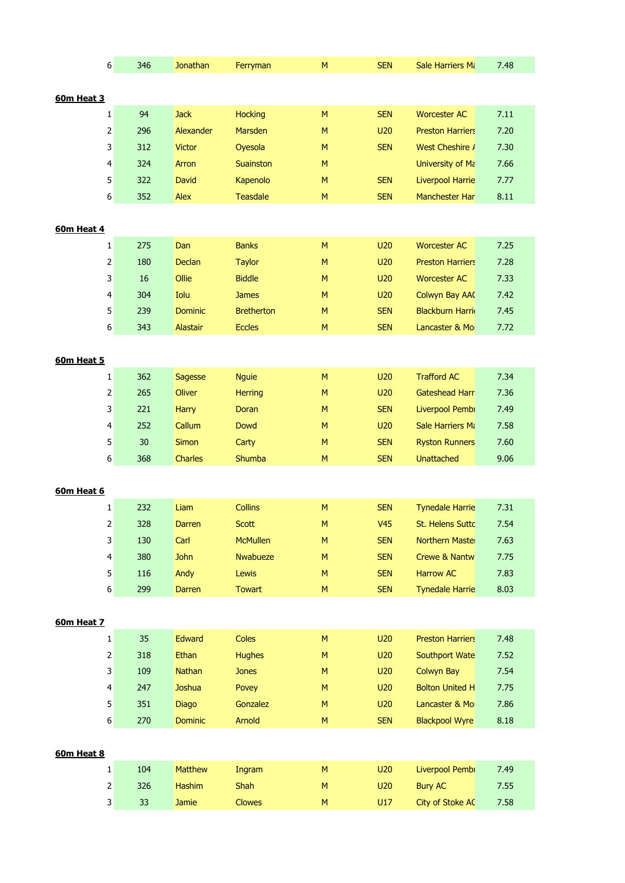|            | 6                       | 346    | <b>Jonathan</b> | Ferryman          | M         | <b>SEN</b>      | Sale Harriers Mi         | 7.48 |
|------------|-------------------------|--------|-----------------|-------------------|-----------|-----------------|--------------------------|------|
|            |                         |        |                 |                   |           |                 |                          |      |
| 60m Heat 3 |                         |        |                 |                   |           |                 |                          |      |
|            | 1                       | 94     | <b>Jack</b>     | <b>Hocking</b>    | ${\sf M}$ | <b>SEN</b>      | <b>Worcester AC</b>      | 7.11 |
|            | 2                       | 296    | Alexander       | Marsden           | ${\sf M}$ | U20             | <b>Preston Harriers</b>  | 7.20 |
|            | 3                       | 312    | <b>Victor</b>   | Oyesola           | M         | <b>SEN</b>      | West Cheshire /          | 7.30 |
|            | 4                       | 324    | Arron           | Suainston         | M         |                 | University of Ma         | 7.66 |
|            | 5                       | 322    | David           | Kapenolo          | M         | <b>SEN</b>      | <b>Liverpool Harrie</b>  | 7.77 |
|            | 6                       | 352    | Alex            | <b>Teasdale</b>   | M         | <b>SEN</b>      | Manchester Har           | 8.11 |
|            |                         |        |                 |                   |           |                 |                          |      |
| 60m Heat 4 |                         |        |                 |                   |           |                 |                          |      |
|            | $\mathbf{1}$            | 275    | Dan             | <b>Banks</b>      | ${\sf M}$ | U20             | <b>Worcester AC</b>      | 7.25 |
|            | $\overline{2}$          | 180    | Declan          | <b>Taylor</b>     | M         | U20             | <b>Preston Harriers</b>  | 7.28 |
|            | 3                       | $16\,$ | Ollie           | <b>Biddle</b>     | M         | U20             | <b>Worcester AC</b>      | 7.33 |
|            | 4                       | 304    | Iolu            | <b>James</b>      | M         | <b>U20</b>      | Colwyn Bay AA            | 7.42 |
|            | 5                       | 239    | <b>Dominic</b>  | <b>Bretherton</b> | M         | <b>SEN</b>      | <b>Blackburn Harri</b>   | 7.45 |
|            | 6                       | 343    | Alastair        | <b>Eccles</b>     | M         | <b>SEN</b>      | Lancaster & Mo           | 7.72 |
|            |                         |        |                 |                   |           |                 |                          |      |
| 60m Heat 5 |                         |        |                 |                   |           |                 |                          |      |
|            | $\mathbf{1}$            | 362    | Sagesse         | <b>Nguie</b>      | ${\sf M}$ | U20             | <b>Trafford AC</b>       | 7.34 |
|            | 2                       | 265    | Oliver          | <b>Herring</b>    | M         | U20             | <b>Gateshead Harr</b>    | 7.36 |
|            | 3                       | 221    | Harry           | Doran             | M         | <b>SEN</b>      | Liverpool Pembi          | 7.49 |
|            | 4                       | 252    | Callum          | <b>Dowd</b>       | M         | U20             | Sale Harriers Mi         | 7.58 |
|            | 5                       | 30     | Simon           | Carty             | M         | <b>SEN</b>      | <b>Ryston Runners</b>    | 7.60 |
|            | 6                       | 368    | Charles         | Shumba            | ${\sf M}$ | <b>SEN</b>      | <b>Unattached</b>        | 9.06 |
|            |                         |        |                 |                   |           |                 |                          |      |
| 60m Heat 6 |                         |        |                 |                   |           |                 |                          |      |
|            | 1                       | 232    | Liam            | <b>Collins</b>    | M         | <b>SEN</b>      | <b>Tynedale Harrie</b>   | 7.31 |
|            | 2                       | 328    | Darren          | <b>Scott</b>      | M         | V <sub>45</sub> | St. Helens Sutto         | 7.54 |
|            | $\overline{\mathbf{3}}$ | 130    | Carl            | <b>McMullen</b>   | M         | <b>SEN</b>      | Northern Maste           | 7.63 |
|            | $\overline{4}$          | 380    | <b>John</b>     | <b>Nwabueze</b>   | M         | <b>SEN</b>      | <b>Crewe &amp; Nantw</b> | 7.75 |
|            | 5 <sup>1</sup>          | 116    | Andy            | Lewis             | M         | <b>SEN</b>      | <b>Harrow AC</b>         | 7.83 |
|            | 6                       | 299    | Darren          | Towart            | M         | <b>SEN</b>      | <b>Tynedale Harrie</b>   | 8.03 |
|            |                         |        |                 |                   |           |                 |                          |      |
| 60m Heat 7 |                         |        |                 |                   |           |                 |                          |      |
|            | $\mathbf{1}$            | 35     | Edward          | Coles             | M         | U20             | <b>Preston Harriers</b>  | 7.48 |
|            | $\overline{2}$          | 318    | Ethan           | <b>Hughes</b>     | M         | U20             | Southport Wate           | 7.52 |
|            | 3                       | 109    | <b>Nathan</b>   | <b>Jones</b>      | M         | U20             | <b>Colwyn Bay</b>        | 7.54 |
|            | $\overline{4}$          | 247    | Joshua          | Povey             | M         | U20             | <b>Bolton United H</b>   | 7.75 |
|            | 5 <sup>1</sup>          | 351    | <b>Diago</b>    | Gonzalez          | M         | U20             | Lancaster & Mo           | 7.86 |
|            | 6                       | 270    | <b>Dominic</b>  | Arnold            | M         | <b>SEN</b>      | <b>Blackpool Wyre</b>    | 8.18 |
|            |                         |        |                 |                   |           |                 |                          |      |
| 60m Heat 8 |                         |        |                 |                   |           |                 |                          |      |
|            | $\mathbf{1}$            | 104    | Matthew         | Ingram            | ${\sf M}$ | U20             | Liverpool Pembi          | 7.49 |
|            | $\overline{2}$          | 326    | Hashim          | Shah              | M         | U20             | <b>Bury AC</b>           | 7.55 |
|            | $\mathbf{3}$            | 33     | Jamie           | <b>Clowes</b>     | M         | U17             | <b>City of Stoke AC</b>  | 7.58 |
|            |                         |        |                 |                   |           |                 |                          |      |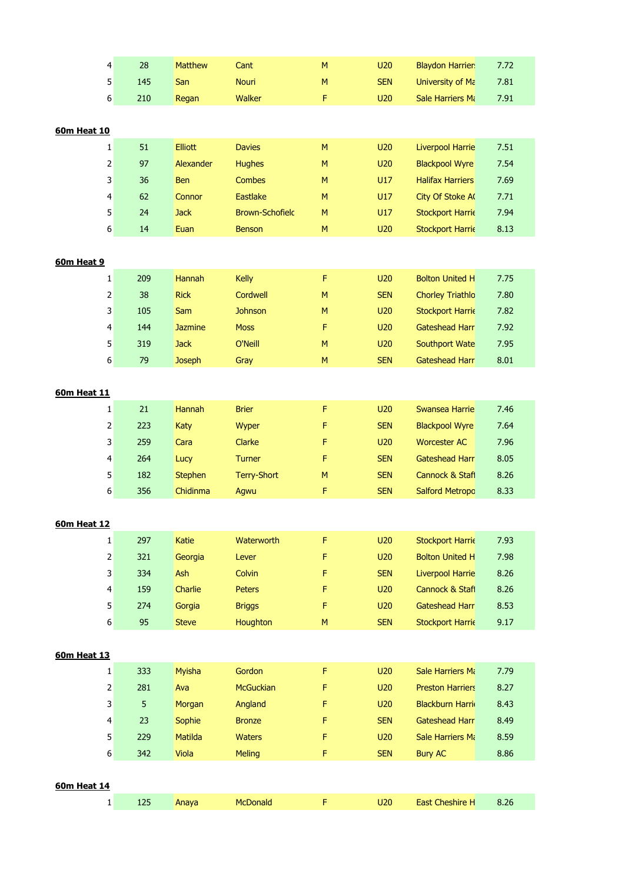|                    | 4              | 28  | Matthew        | Cant                   | M         | U20        | <b>Blaydon Harrier</b>  | 7.72 |
|--------------------|----------------|-----|----------------|------------------------|-----------|------------|-------------------------|------|
|                    | 5              | 145 | San            | <b>Nouri</b>           | M         | <b>SEN</b> | University of Ma        | 7.81 |
|                    | 6              | 210 | Regan          | Walker                 | F         | U20        | Sale Harriers Mi        | 7.91 |
|                    |                |     |                |                        |           |            |                         |      |
| <b>60m Heat 10</b> |                |     |                |                        |           |            |                         |      |
|                    | 1              | 51  | <b>Elliott</b> | <b>Davies</b>          | ${\sf M}$ | <b>U20</b> | <b>Liverpool Harrie</b> | 7.51 |
|                    | $\mathsf{2}\,$ | 97  | Alexander      | <b>Hughes</b>          | M         | U20        | <b>Blackpool Wyre</b>   | 7.54 |
|                    | 3              | 36  | Ben            | <b>Combes</b>          | M         | U17        | <b>Halifax Harriers</b> | 7.69 |
|                    | 4              | 62  | Connor         | Eastlake               | M         | U17        | City Of Stoke A         | 7.71 |
|                    | 5              | 24  | <b>Jack</b>    | <b>Brown-Schofield</b> | ${\sf M}$ | U17        | <b>Stockport Harrie</b> | 7.94 |
|                    | 6              | 14  | Euan           | <b>Benson</b>          | M         | U20        | <b>Stockport Harrie</b> | 8.13 |
|                    |                |     |                |                        |           |            |                         |      |
| 60m Heat 9         |                |     |                |                        |           |            |                         |      |
|                    | 1              | 209 | Hannah         | Kelly                  | F         | <b>U20</b> | <b>Bolton United H</b>  | 7.75 |
|                    | 2              | 38  | <b>Rick</b>    | Cordwell               | M         | <b>SEN</b> | <b>Chorley Triathlo</b> | 7.80 |
|                    | 3              | 105 | Sam            | <b>Johnson</b>         | M         | U20        | <b>Stockport Harrie</b> | 7.82 |
|                    | 4              | 144 | <b>Jazmine</b> | <b>Moss</b>            | F         | U20        | <b>Gateshead Harr</b>   | 7.92 |
|                    | 5              | 319 | <b>Jack</b>    | O'Neill                | M         | U20        | <b>Southport Wate</b>   | 7.95 |
|                    | 6              | 79  | <b>Joseph</b>  | Gray                   | ${\sf M}$ | <b>SEN</b> | <b>Gateshead Harr</b>   | 8.01 |
|                    |                |     |                |                        |           |            |                         |      |
| <b>60m Heat 11</b> |                |     |                |                        |           |            |                         |      |
|                    | 1              | 21  | Hannah         | <b>Brier</b>           | F         | U20        | Swansea Harrie          | 7.46 |
|                    | 2              | 223 | Katy           | Wyper                  | F         | <b>SEN</b> | <b>Blackpool Wyre</b>   | 7.64 |
|                    | 3              | 259 | Cara           | Clarke                 | F         | U20        | <b>Worcester AC</b>     | 7.96 |
|                    | 4              | 264 | Lucy           | Turner                 | F         | <b>SEN</b> | Gateshead Harr          | 8.05 |
|                    | 5              | 182 | <b>Stephen</b> | <b>Terry-Short</b>     | ${\sf M}$ | <b>SEN</b> | Cannock & Stafl         | 8.26 |
|                    | 6              | 356 | Chidinma       | Agwu                   | F         | <b>SEN</b> | <b>Salford Metropo</b>  | 8.33 |
|                    |                |     |                |                        |           |            |                         |      |
| <b>60m Heat 12</b> |                |     |                |                        |           |            |                         |      |
|                    | $\mathbf{1}$   | 297 | Katie          | Waterworth             | F         | <b>U20</b> | <b>Stockport Harrie</b> | 7.93 |
|                    | 2              | 321 | Georgia        | Lever                  | F         | U20        | <b>Bolton United H</b>  | 7.98 |
|                    | 3              | 334 | Ash            | Colvin                 | F         | <b>SEN</b> | <b>Liverpool Harrie</b> | 8.26 |
|                    | 4              | 159 | Charlie        | <b>Peters</b>          | F         | U20        | Cannock & Stafl         | 8.26 |
|                    | 5              | 274 | Gorgia         | <b>Briggs</b>          | F         | <b>U20</b> | <b>Gateshead Harr</b>   | 8.53 |
|                    | 6              | 95  | <b>Steve</b>   | <b>Houghton</b>        | ${\sf M}$ | <b>SEN</b> | <b>Stockport Harrie</b> | 9.17 |
|                    |                |     |                |                        |           |            |                         |      |
| <b>60m Heat 13</b> |                |     |                |                        |           |            |                         |      |
|                    | $\mathbf{1}$   | 333 | Myisha         | Gordon                 | F         | U20        | <b>Sale Harriers Mi</b> | 7.79 |
|                    | 2              | 281 | Ava            | <b>McGuckian</b>       | F         | U20        | <b>Preston Harriers</b> | 8.27 |
|                    | 3              | 5   | Morgan         | Angland                | F         | U20        | <b>Blackburn Harri</b>  | 8.43 |
|                    | 4              | 23  | Sophie         | <b>Bronze</b>          | F         | <b>SEN</b> | <b>Gateshead Harr</b>   | 8.49 |
|                    | 5              | 229 | Matilda        | <b>Waters</b>          | F         | U20        | Sale Harriers Mi        | 8.59 |
|                    | 6              | 342 | Viola          | <b>Meling</b>          | F         | <b>SEN</b> | <b>Bury AC</b>          | 8.86 |
|                    |                |     |                |                        |           |            |                         |      |
| <b>60m Heat 14</b> |                |     |                |                        |           |            |                         |      |
|                    | $\mathbf{1}$   | 125 | Anaya          | McDonald               | F         | U20        | East Cheshire H         | 8.26 |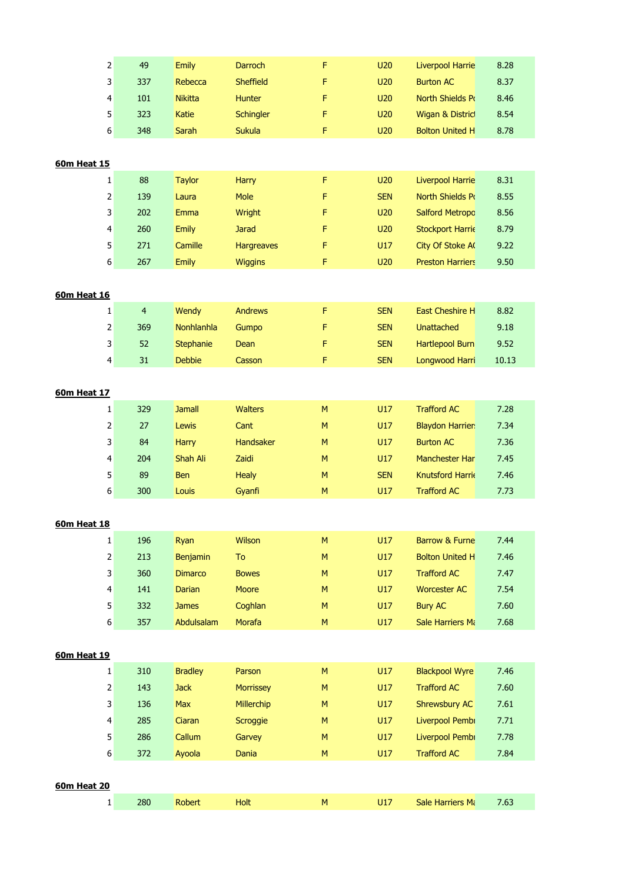| 2                  | 49             | Emily          | Darroch          | F           | <b>U20</b> | <b>Liverpool Harrie</b>   | 8.28  |
|--------------------|----------------|----------------|------------------|-------------|------------|---------------------------|-------|
| 3                  | 337            | Rebecca        | <b>Sheffield</b> | F           | U20        | <b>Burton AC</b>          | 8.37  |
| 4                  | 101            | <b>Nikitta</b> | <b>Hunter</b>    | F           | U20        | North Shields Po          | 8.46  |
| 5                  | 323            | Katie          | Schingler        | F           | U20        | Wigan & Distric           | 8.54  |
| 6                  | 348            | Sarah          | <b>Sukula</b>    | F           | U20        | <b>Bolton United H</b>    | 8.78  |
|                    |                |                |                  |             |            |                           |       |
| 60m Heat 15        |                |                |                  |             |            |                           |       |
| 1                  | 88             | <b>Taylor</b>  | <b>Harry</b>     | $\mathsf F$ | <b>U20</b> | <b>Liverpool Harrie</b>   | 8.31  |
| 2                  | 139            | Laura          | Mole             | F           | <b>SEN</b> | North Shields Po          | 8.55  |
| 3                  | 202            | Emma           | Wright           | F           | U20        | <b>Salford Metropc</b>    | 8.56  |
| 4                  | 260            | Emily          | <b>Jarad</b>     | F           | U20        | <b>Stockport Harrie</b>   | 8.79  |
| 5                  | 271            | Camille        | Hargreaves       | F           | U17        | City Of Stoke A           | 9.22  |
| 6                  | 267            | <b>Emily</b>   | <b>Wiggins</b>   | F           | U20        | <b>Preston Harriers</b>   | 9.50  |
|                    |                |                |                  |             |            |                           |       |
| 60m Heat 16        |                |                |                  |             |            |                           |       |
| 1                  | $\overline{4}$ | Wendy          | <b>Andrews</b>   | $\mathsf F$ | <b>SEN</b> | <b>East Cheshire H</b>    | 8.82  |
| 2                  | 369            | Nonhlanhla     | Gumpo            | F           | <b>SEN</b> | <b>Unattached</b>         | 9.18  |
| 3                  | 52             | Stephanie      | Dean             | F           | <b>SEN</b> | <b>Hartlepool Burn</b>    | 9.52  |
| 4                  | 31             | <b>Debbie</b>  | Casson           | F           | <b>SEN</b> | Longwood Harri            | 10.13 |
|                    |                |                |                  |             |            |                           |       |
| 60m Heat 17        |                |                |                  |             |            |                           |       |
| 1                  | 329            | <b>Jamall</b>  | <b>Walters</b>   | M           | U17        | <b>Trafford AC</b>        | 7.28  |
| 2                  | 27             | Lewis          | Cant             | ${\sf M}$   | U17        | <b>Blaydon Harrier</b>    | 7.34  |
| 3                  | 84             | <b>Harry</b>   | Handsaker        | M           | U17        | <b>Burton AC</b>          | 7.36  |
| 4                  | 204            | Shah Ali       | Zaidi            | M           | U17        | Manchester Har            | 7.45  |
| 5                  | 89             | <b>Ben</b>     | <b>Healy</b>     | M           | <b>SEN</b> | <b>Knutsford Harrie</b>   | 7.46  |
| 6                  | 300            | Louis          | Gyanfi           | M           | U17        | <b>Trafford AC</b>        | 7.73  |
|                    |                |                |                  |             |            |                           |       |
| <u>60m Heat 18</u> |                |                |                  |             |            |                           |       |
| $\mathbf 1$        | 196            | Ryan           | Wilson           | M           | U17        | <b>Barrow &amp; Furne</b> | 7.44  |
| $\overline{2}$     | 213            | Benjamin       | To               | M           | U17        | <b>Bolton United H</b>    | 7.46  |
| 3                  | 360            | <b>Dimarco</b> | <b>Bowes</b>     | M           | U17        | <b>Trafford AC</b>        | 7.47  |
| 4                  | 141            | <b>Darian</b>  | Moore            | M           | U17        | <b>Worcester AC</b>       | 7.54  |
| 5                  | 332            | <b>James</b>   | Coghlan          | M           | U17        | <b>Bury AC</b>            | 7.60  |
| 6                  | 357            | Abdulsalam     | Morafa           | ${\sf M}$   | U17        | Sale Harriers Ma          | 7.68  |
|                    |                |                |                  |             |            |                           |       |
| 60m Heat 19        |                |                |                  |             |            |                           |       |
| 1                  | 310            | <b>Bradley</b> | Parson           | M           | U17        | <b>Blackpool Wyre</b>     | 7.46  |
| $\overline{2}$     | 143            | <b>Jack</b>    | <b>Morrissey</b> | M           | U17        | <b>Trafford AC</b>        | 7.60  |
| 3                  | 136            | Max            | Millerchip       | M           | U17        | Shrewsbury AC             | 7.61  |
| 4                  | 285            | Ciaran         | Scroggie         | M           | U17        | Liverpool Pembi           | 7.71  |
| 5                  | 286            | Callum         | Garvey           | M           | U17        | Liverpool Pembi           | 7.78  |
| 6                  | 372            | Ayoola         | Dania            | M           | U17        | <b>Trafford AC</b>        | 7.84  |
|                    |                |                |                  |             |            |                           |       |
| <b>60m Heat 20</b> |                |                |                  |             |            |                           |       |
| $\mathbf{1}$       | 280            | Robert         | Holt             | ${\sf M}$   | U17        | Sale Harriers Ma          | 7.63  |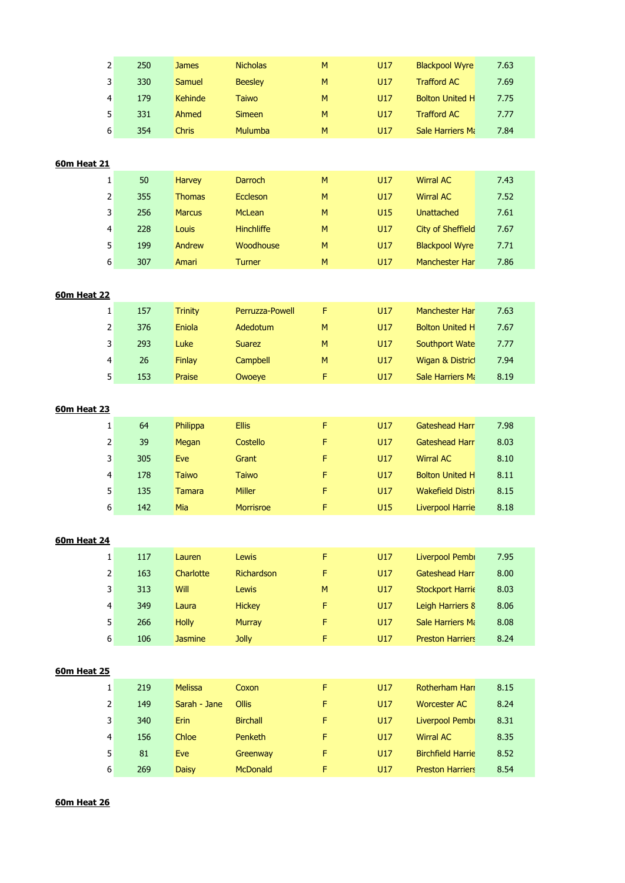|                    | $\overline{2}$                                                                                                   | 250 | <b>James</b>   | <b>Nicholas</b> | M         | U17 | <b>Blackpool Wyre</b>    | 7.63 |
|--------------------|------------------------------------------------------------------------------------------------------------------|-----|----------------|-----------------|-----------|-----|--------------------------|------|
|                    | 3                                                                                                                | 330 | Samuel         | <b>Beesley</b>  | M         | U17 | <b>Trafford AC</b>       | 7.69 |
|                    | 4                                                                                                                | 179 | <b>Kehinde</b> | <b>Taiwo</b>    | M         | U17 | <b>Bolton United H</b>   | 7.75 |
|                    | 5                                                                                                                | 331 | Ahmed          | <b>Simeen</b>   | M         | U17 | <b>Trafford AC</b>       | 7.77 |
|                    | 6                                                                                                                | 354 | <b>Chris</b>   | Mulumba         | ${\sf M}$ | U17 | <b>Sale Harriers Mi</b>  | 7.84 |
|                    |                                                                                                                  |     |                |                 |           |     |                          |      |
| <b>60m Heat 21</b> |                                                                                                                  |     |                |                 |           |     |                          |      |
|                    | $\mathbf{1}$                                                                                                     | 50  | Harvey         | Darroch         | ${\sf M}$ | U17 | <b>Wirral AC</b>         | 7.43 |
|                    | $\mathsf{2}\!\!\:\mathsf{1}\!\!\:\mathsf{2}\!\!\:\mathsf{1}\!\!\:\mathsf{3}\mathsf{2}\!\!\:\mathsf{4}\mathsf{3}$ | 355 | <b>Thomas</b>  | Eccleson        | M         | U17 | <b>Wirral AC</b>         | 7.52 |
|                    | 3                                                                                                                | 256 | <b>Marcus</b>  | McLean          | M         | U15 | <b>Unattached</b>        | 7.61 |
|                    | 4                                                                                                                | 228 | Louis          | Hinchliffe      | M         | U17 | <b>City of Sheffield</b> | 7.67 |
|                    | 5                                                                                                                | 199 | Andrew         | Woodhouse       | M         | U17 | <b>Blackpool Wyre</b>    | 7.71 |
|                    | 6                                                                                                                | 307 | Amari          | Turner          | ${\sf M}$ | U17 | Manchester Har           | 7.86 |
|                    |                                                                                                                  |     |                |                 |           |     |                          |      |
| <b>60m Heat 22</b> |                                                                                                                  |     |                |                 |           |     |                          |      |
|                    | $\mathbf{1}$                                                                                                     | 157 | <b>Trinity</b> | Perruzza-Powell | F         | U17 | Manchester Har           | 7.63 |
|                    | $\mathsf{2}\!\!\:\mathsf{1}\!\!\:\mathsf{2}\!\!\:\mathsf{1}\!\!\:\mathsf{3}\mathsf{2}\!\!\:\mathsf{4}\mathsf{3}$ | 376 | Eniola         | Adedotum        | M         | U17 | <b>Bolton United H</b>   | 7.67 |
|                    | 3                                                                                                                | 293 | Luke           | <b>Suarez</b>   | M         | U17 | Southport Wate           | 7.77 |
|                    | 4                                                                                                                | 26  | Finlay         | Campbell        | M         | U17 | Wigan & Distric          | 7.94 |
|                    | 5 <sup>1</sup>                                                                                                   | 153 | Praise         | Owoeye          | F         | U17 | Sale Harriers Ma         | 8.19 |
|                    |                                                                                                                  |     |                |                 |           |     |                          |      |
| <b>60m Heat 23</b> |                                                                                                                  |     |                |                 |           |     |                          |      |
|                    | $\mathbf{1}$                                                                                                     | 64  | Philippa       | <b>Ellis</b>    | F         | U17 | <b>Gateshead Harr</b>    | 7.98 |
|                    | $\overline{2}$                                                                                                   | 39  | Megan          | Costello        | F         | U17 | Gateshead Harr           | 8.03 |
|                    | 3                                                                                                                | 305 | Eve            | Grant           | F         | U17 | <b>Wirral AC</b>         | 8.10 |
|                    | 4                                                                                                                | 178 | <b>Taiwo</b>   | <b>Taiwo</b>    | F         | U17 | <b>Bolton United H</b>   | 8.11 |
|                    | 5 <sup>1</sup>                                                                                                   | 135 | <b>Tamara</b>  | <b>Miller</b>   | F         | U17 | <b>Wakefield Distri</b>  | 8.15 |
|                    | 6                                                                                                                | 142 | Mia            | Morrisroe       | F         | U15 | <b>Liverpool Harrie</b>  | 8.18 |
|                    |                                                                                                                  |     |                |                 |           |     |                          |      |
| <b>60m Heat 24</b> |                                                                                                                  |     |                |                 |           |     |                          |      |
|                    | $\mathbf{1}$                                                                                                     | 117 | Lauren         | Lewis           | F         | U17 | Liverpool Pembi          | 7.95 |
|                    | $\mathsf{2}\!\!\:\mathsf{1}\!\!\:\mathsf{2}\!\!\:\mathsf{1}\!\!\:\mathsf{3}\mathsf{2}\!\!\:\mathsf{4}\mathsf{3}$ | 163 | Charlotte      | Richardson      | F         | U17 | <b>Gateshead Harr</b>    | 8.00 |
|                    | $\overline{\mathbf{3}}$                                                                                          | 313 | Will           | Lewis           | M         | U17 | <b>Stockport Harrie</b>  | 8.03 |
|                    | 4                                                                                                                | 349 | Laura          | <b>Hickey</b>   | F         | U17 | Leigh Harriers 8         | 8.06 |
|                    | 5                                                                                                                | 266 | <b>Holly</b>   | Murray          | F         | U17 | Sale Harriers Ma         | 8.08 |
|                    | $6 \mid$                                                                                                         | 106 | <b>Jasmine</b> | Jolly           | F         | U17 | <b>Preston Harriers</b>  | 8.24 |
|                    |                                                                                                                  |     |                |                 |           |     |                          |      |
| <b>60m Heat 25</b> |                                                                                                                  |     |                |                 |           |     |                          |      |
|                    | $\mathbf{1}$                                                                                                     | 219 | <b>Melissa</b> | Coxon           | F         | U17 | Rotherham Hari           | 8.15 |
|                    | $\overline{2}$                                                                                                   | 149 | Sarah - Jane   | Ollis           | F         | U17 | <b>Worcester AC</b>      | 8.24 |
|                    | 3                                                                                                                | 340 | Erin           | <b>Birchall</b> | F         | U17 | Liverpool Pembi          | 8.31 |
|                    | 4                                                                                                                | 156 | Chloe          | Penketh         | F         | U17 | <b>Wirral AC</b>         | 8.35 |
|                    | 5                                                                                                                | 81  | Eve            | Greenway        | F         | U17 | <b>Birchfield Harrie</b> | 8.52 |
|                    | $6 \mid$                                                                                                         | 269 | <b>Daisy</b>   | McDonald        | F         | U17 | <b>Preston Harriers</b>  | 8.54 |

**60m Heat 26**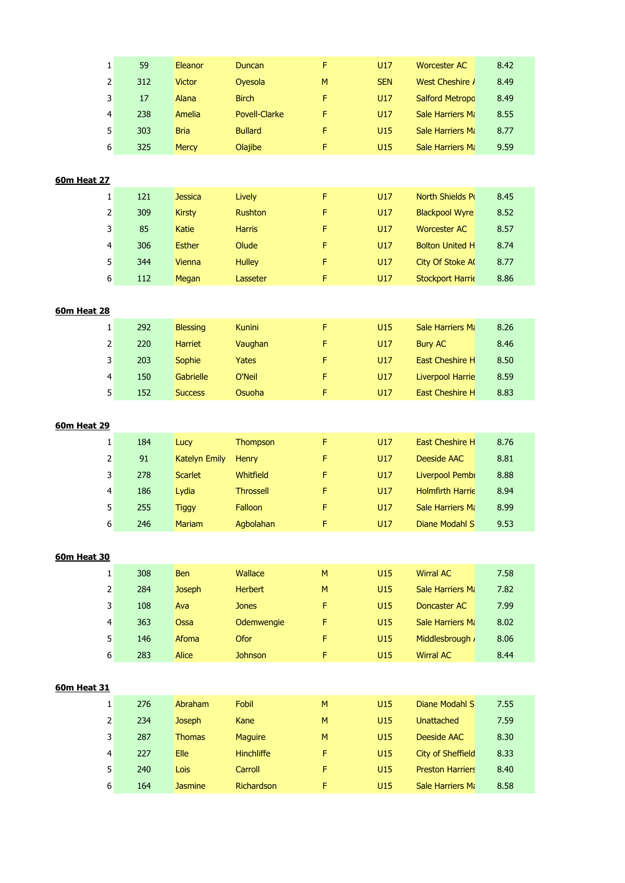| F<br>$\mathbf 1$<br>59<br>U17<br>8.42<br>Eleanor<br>Duncan<br><b>Worcester AC</b><br>2<br>312<br>Oyesola<br>M<br><b>SEN</b><br>West Cheshire /<br>8.49<br><b>Victor</b><br>3<br>8.49<br>17<br>Alana<br><b>Birch</b><br>F<br>U17<br><b>Salford Metropc</b><br>4<br>238<br><b>Povell-Clarke</b><br>U17<br>Amelia<br>F<br><b>Sale Harriers Mi</b><br>8.55<br>5<br>303<br><b>Bria</b><br><b>Bullard</b><br>F<br>U15<br>8.77<br><b>Sale Harriers Mi</b><br>6<br>325<br>Olajibe<br>F<br>U15<br><b>Mercy</b><br>Sale Harriers Ma<br>9.59<br>$\mathbf{1}$<br>121<br>Lively<br>F<br>U17<br>North Shields Po<br>8.45<br><b>Jessica</b><br>2<br>309<br><b>Rushton</b><br>U17<br>8.52<br><b>Kirsty</b><br>F<br><b>Blackpool Wyre</b><br>3<br>85<br>F<br>U17<br>Katie<br>Harris<br><b>Worcester AC</b><br>8.57<br>4<br>306<br>Olude<br>F<br>U17<br><b>Bolton United H</b><br>8.74<br><b>Esther</b><br>5<br>8.77<br>344<br><b>Hulley</b><br>F<br>U17<br>City Of Stoke A<br>Vienna<br>6<br>112<br>F<br>U17<br>8.86<br>Megan<br>Lasseter<br><b>Stockport Harrie</b><br>F<br>U15<br>292<br><b>Kunini</b><br>Sale Harriers Mi<br>8.26<br>$\mathbf{1}$<br><b>Blessing</b><br><b>Bury AC</b><br>8.46<br>2<br>220<br>Harriet<br>Vaughan<br>F<br>U17<br>3<br>F<br>203<br>Sophie<br>Yates<br>U17<br>East Cheshire H<br>8.50<br>4<br>150<br>Gabrielle<br>O'Neil<br>U17<br>Liverpool Harrie<br>8.59<br>F<br>5<br>F<br>152<br>Osuoha<br>U17<br>8.83<br><b>Success</b><br>East Cheshire H<br>$\mathbf{1}$<br>184<br>Thompson<br>F<br>U17<br>East Cheshire H<br>8.76<br>Lucy<br>2<br>91<br>U17<br>8.81<br><b>Katelyn Emily</b><br>Henry<br>F<br>Deeside AAC<br>3<br>278<br>Whitfield<br>F<br><b>Scarlet</b><br>U17<br>Liverpool Pembi<br>8.88<br>4<br>186<br>Lydia<br><b>Throssell</b><br>F<br>U17<br><b>Holmfirth Harrie</b><br>8.94<br>Falloon<br>5<br>Sale Harriers Mi<br>8.99<br>255<br><b>Tiggy</b><br>F<br>U17<br>246<br>9.53<br>6<br>Agbolahan<br>U17<br>Diane Modahl S<br>Mariam<br>F.<br>U15<br>308<br>Wallace<br>M<br><b>Wirral AC</b><br>7.58<br>$\mathbf{1}$<br><b>Ben</b><br>2<br>284<br><b>Joseph</b><br><b>Herbert</b><br>M<br>U15<br>Sale Harriers Mi<br>7.82<br>3<br>U15<br>108<br>Ava<br><b>Jones</b><br>F<br>Doncaster AC<br>7.99<br>4<br>Odemwengie<br>U15<br>8.02<br>363<br>Ossa<br>F<br>Sale Harriers Mi<br>5<br>Ofor<br>F<br>U15<br>8.06<br>146<br>Afoma<br>Middlesbrough /<br>$6 \mid$<br>U15<br>283<br>Alice<br><b>Johnson</b><br>F<br><b>Wirral AC</b><br>8.44<br>276<br>Abraham<br>Fobil<br>U15<br>Diane Modahl S<br>$\mathbf{1}$<br>M<br>7.55<br>2<br>234<br>U15<br><b>Joseph</b><br>Kane<br>M<br><b>Unattached</b><br>7.59<br>3<br>287<br>U15<br>8.30<br><b>Thomas</b><br><b>Maguire</b><br>M<br>Deeside AAC<br>Elle<br>8.33<br>4<br>227<br><b>Hinchliffe</b><br>F<br>U15<br><b>City of Sheffield</b><br>5<br>Carroll<br>8.40<br>240<br>Lois<br>F<br>U15<br><b>Preston Harriers</b> |                 |                |            |   |     |                         |      |
|--------------------------------------------------------------------------------------------------------------------------------------------------------------------------------------------------------------------------------------------------------------------------------------------------------------------------------------------------------------------------------------------------------------------------------------------------------------------------------------------------------------------------------------------------------------------------------------------------------------------------------------------------------------------------------------------------------------------------------------------------------------------------------------------------------------------------------------------------------------------------------------------------------------------------------------------------------------------------------------------------------------------------------------------------------------------------------------------------------------------------------------------------------------------------------------------------------------------------------------------------------------------------------------------------------------------------------------------------------------------------------------------------------------------------------------------------------------------------------------------------------------------------------------------------------------------------------------------------------------------------------------------------------------------------------------------------------------------------------------------------------------------------------------------------------------------------------------------------------------------------------------------------------------------------------------------------------------------------------------------------------------------------------------------------------------------------------------------------------------------------------------------------------------------------------------------------------------------------------------------------------------------------------------------------------------------------------------------------------------------------------------------------------------------------------------------------------------------------------------------------------------------------------------------------------------------------------------------------------------------------------------------------------------------------------------------------------------------------------------------------------------------------------------------------------------------------------------------------------------------------------------|-----------------|----------------|------------|---|-----|-------------------------|------|
|                                                                                                                                                                                                                                                                                                                                                                                                                                                                                                                                                                                                                                                                                                                                                                                                                                                                                                                                                                                                                                                                                                                                                                                                                                                                                                                                                                                                                                                                                                                                                                                                                                                                                                                                                                                                                                                                                                                                                                                                                                                                                                                                                                                                                                                                                                                                                                                                                                                                                                                                                                                                                                                                                                                                                                                                                                                                                      |                 |                |            |   |     |                         |      |
| <b>60m Heat 27</b><br><b>60m Heat 28</b><br><b>60m Heat 30</b><br>60m Heat 31                                                                                                                                                                                                                                                                                                                                                                                                                                                                                                                                                                                                                                                                                                                                                                                                                                                                                                                                                                                                                                                                                                                                                                                                                                                                                                                                                                                                                                                                                                                                                                                                                                                                                                                                                                                                                                                                                                                                                                                                                                                                                                                                                                                                                                                                                                                                                                                                                                                                                                                                                                                                                                                                                                                                                                                                        |                 |                |            |   |     |                         |      |
| <b>60m Heat 29</b>                                                                                                                                                                                                                                                                                                                                                                                                                                                                                                                                                                                                                                                                                                                                                                                                                                                                                                                                                                                                                                                                                                                                                                                                                                                                                                                                                                                                                                                                                                                                                                                                                                                                                                                                                                                                                                                                                                                                                                                                                                                                                                                                                                                                                                                                                                                                                                                                                                                                                                                                                                                                                                                                                                                                                                                                                                                                   |                 |                |            |   |     |                         |      |
|                                                                                                                                                                                                                                                                                                                                                                                                                                                                                                                                                                                                                                                                                                                                                                                                                                                                                                                                                                                                                                                                                                                                                                                                                                                                                                                                                                                                                                                                                                                                                                                                                                                                                                                                                                                                                                                                                                                                                                                                                                                                                                                                                                                                                                                                                                                                                                                                                                                                                                                                                                                                                                                                                                                                                                                                                                                                                      |                 |                |            |   |     |                         |      |
|                                                                                                                                                                                                                                                                                                                                                                                                                                                                                                                                                                                                                                                                                                                                                                                                                                                                                                                                                                                                                                                                                                                                                                                                                                                                                                                                                                                                                                                                                                                                                                                                                                                                                                                                                                                                                                                                                                                                                                                                                                                                                                                                                                                                                                                                                                                                                                                                                                                                                                                                                                                                                                                                                                                                                                                                                                                                                      |                 |                |            |   |     |                         |      |
|                                                                                                                                                                                                                                                                                                                                                                                                                                                                                                                                                                                                                                                                                                                                                                                                                                                                                                                                                                                                                                                                                                                                                                                                                                                                                                                                                                                                                                                                                                                                                                                                                                                                                                                                                                                                                                                                                                                                                                                                                                                                                                                                                                                                                                                                                                                                                                                                                                                                                                                                                                                                                                                                                                                                                                                                                                                                                      |                 |                |            |   |     |                         |      |
|                                                                                                                                                                                                                                                                                                                                                                                                                                                                                                                                                                                                                                                                                                                                                                                                                                                                                                                                                                                                                                                                                                                                                                                                                                                                                                                                                                                                                                                                                                                                                                                                                                                                                                                                                                                                                                                                                                                                                                                                                                                                                                                                                                                                                                                                                                                                                                                                                                                                                                                                                                                                                                                                                                                                                                                                                                                                                      |                 |                |            |   |     |                         |      |
|                                                                                                                                                                                                                                                                                                                                                                                                                                                                                                                                                                                                                                                                                                                                                                                                                                                                                                                                                                                                                                                                                                                                                                                                                                                                                                                                                                                                                                                                                                                                                                                                                                                                                                                                                                                                                                                                                                                                                                                                                                                                                                                                                                                                                                                                                                                                                                                                                                                                                                                                                                                                                                                                                                                                                                                                                                                                                      |                 |                |            |   |     |                         |      |
|                                                                                                                                                                                                                                                                                                                                                                                                                                                                                                                                                                                                                                                                                                                                                                                                                                                                                                                                                                                                                                                                                                                                                                                                                                                                                                                                                                                                                                                                                                                                                                                                                                                                                                                                                                                                                                                                                                                                                                                                                                                                                                                                                                                                                                                                                                                                                                                                                                                                                                                                                                                                                                                                                                                                                                                                                                                                                      |                 |                |            |   |     |                         |      |
|                                                                                                                                                                                                                                                                                                                                                                                                                                                                                                                                                                                                                                                                                                                                                                                                                                                                                                                                                                                                                                                                                                                                                                                                                                                                                                                                                                                                                                                                                                                                                                                                                                                                                                                                                                                                                                                                                                                                                                                                                                                                                                                                                                                                                                                                                                                                                                                                                                                                                                                                                                                                                                                                                                                                                                                                                                                                                      |                 |                |            |   |     |                         |      |
|                                                                                                                                                                                                                                                                                                                                                                                                                                                                                                                                                                                                                                                                                                                                                                                                                                                                                                                                                                                                                                                                                                                                                                                                                                                                                                                                                                                                                                                                                                                                                                                                                                                                                                                                                                                                                                                                                                                                                                                                                                                                                                                                                                                                                                                                                                                                                                                                                                                                                                                                                                                                                                                                                                                                                                                                                                                                                      |                 |                |            |   |     |                         |      |
|                                                                                                                                                                                                                                                                                                                                                                                                                                                                                                                                                                                                                                                                                                                                                                                                                                                                                                                                                                                                                                                                                                                                                                                                                                                                                                                                                                                                                                                                                                                                                                                                                                                                                                                                                                                                                                                                                                                                                                                                                                                                                                                                                                                                                                                                                                                                                                                                                                                                                                                                                                                                                                                                                                                                                                                                                                                                                      |                 |                |            |   |     |                         |      |
|                                                                                                                                                                                                                                                                                                                                                                                                                                                                                                                                                                                                                                                                                                                                                                                                                                                                                                                                                                                                                                                                                                                                                                                                                                                                                                                                                                                                                                                                                                                                                                                                                                                                                                                                                                                                                                                                                                                                                                                                                                                                                                                                                                                                                                                                                                                                                                                                                                                                                                                                                                                                                                                                                                                                                                                                                                                                                      |                 |                |            |   |     |                         |      |
|                                                                                                                                                                                                                                                                                                                                                                                                                                                                                                                                                                                                                                                                                                                                                                                                                                                                                                                                                                                                                                                                                                                                                                                                                                                                                                                                                                                                                                                                                                                                                                                                                                                                                                                                                                                                                                                                                                                                                                                                                                                                                                                                                                                                                                                                                                                                                                                                                                                                                                                                                                                                                                                                                                                                                                                                                                                                                      |                 |                |            |   |     |                         |      |
|                                                                                                                                                                                                                                                                                                                                                                                                                                                                                                                                                                                                                                                                                                                                                                                                                                                                                                                                                                                                                                                                                                                                                                                                                                                                                                                                                                                                                                                                                                                                                                                                                                                                                                                                                                                                                                                                                                                                                                                                                                                                                                                                                                                                                                                                                                                                                                                                                                                                                                                                                                                                                                                                                                                                                                                                                                                                                      |                 |                |            |   |     |                         |      |
|                                                                                                                                                                                                                                                                                                                                                                                                                                                                                                                                                                                                                                                                                                                                                                                                                                                                                                                                                                                                                                                                                                                                                                                                                                                                                                                                                                                                                                                                                                                                                                                                                                                                                                                                                                                                                                                                                                                                                                                                                                                                                                                                                                                                                                                                                                                                                                                                                                                                                                                                                                                                                                                                                                                                                                                                                                                                                      |                 |                |            |   |     |                         |      |
|                                                                                                                                                                                                                                                                                                                                                                                                                                                                                                                                                                                                                                                                                                                                                                                                                                                                                                                                                                                                                                                                                                                                                                                                                                                                                                                                                                                                                                                                                                                                                                                                                                                                                                                                                                                                                                                                                                                                                                                                                                                                                                                                                                                                                                                                                                                                                                                                                                                                                                                                                                                                                                                                                                                                                                                                                                                                                      |                 |                |            |   |     |                         |      |
|                                                                                                                                                                                                                                                                                                                                                                                                                                                                                                                                                                                                                                                                                                                                                                                                                                                                                                                                                                                                                                                                                                                                                                                                                                                                                                                                                                                                                                                                                                                                                                                                                                                                                                                                                                                                                                                                                                                                                                                                                                                                                                                                                                                                                                                                                                                                                                                                                                                                                                                                                                                                                                                                                                                                                                                                                                                                                      |                 |                |            |   |     |                         |      |
|                                                                                                                                                                                                                                                                                                                                                                                                                                                                                                                                                                                                                                                                                                                                                                                                                                                                                                                                                                                                                                                                                                                                                                                                                                                                                                                                                                                                                                                                                                                                                                                                                                                                                                                                                                                                                                                                                                                                                                                                                                                                                                                                                                                                                                                                                                                                                                                                                                                                                                                                                                                                                                                                                                                                                                                                                                                                                      |                 |                |            |   |     |                         |      |
|                                                                                                                                                                                                                                                                                                                                                                                                                                                                                                                                                                                                                                                                                                                                                                                                                                                                                                                                                                                                                                                                                                                                                                                                                                                                                                                                                                                                                                                                                                                                                                                                                                                                                                                                                                                                                                                                                                                                                                                                                                                                                                                                                                                                                                                                                                                                                                                                                                                                                                                                                                                                                                                                                                                                                                                                                                                                                      |                 |                |            |   |     |                         |      |
|                                                                                                                                                                                                                                                                                                                                                                                                                                                                                                                                                                                                                                                                                                                                                                                                                                                                                                                                                                                                                                                                                                                                                                                                                                                                                                                                                                                                                                                                                                                                                                                                                                                                                                                                                                                                                                                                                                                                                                                                                                                                                                                                                                                                                                                                                                                                                                                                                                                                                                                                                                                                                                                                                                                                                                                                                                                                                      |                 |                |            |   |     |                         |      |
|                                                                                                                                                                                                                                                                                                                                                                                                                                                                                                                                                                                                                                                                                                                                                                                                                                                                                                                                                                                                                                                                                                                                                                                                                                                                                                                                                                                                                                                                                                                                                                                                                                                                                                                                                                                                                                                                                                                                                                                                                                                                                                                                                                                                                                                                                                                                                                                                                                                                                                                                                                                                                                                                                                                                                                                                                                                                                      |                 |                |            |   |     |                         |      |
|                                                                                                                                                                                                                                                                                                                                                                                                                                                                                                                                                                                                                                                                                                                                                                                                                                                                                                                                                                                                                                                                                                                                                                                                                                                                                                                                                                                                                                                                                                                                                                                                                                                                                                                                                                                                                                                                                                                                                                                                                                                                                                                                                                                                                                                                                                                                                                                                                                                                                                                                                                                                                                                                                                                                                                                                                                                                                      |                 |                |            |   |     |                         |      |
|                                                                                                                                                                                                                                                                                                                                                                                                                                                                                                                                                                                                                                                                                                                                                                                                                                                                                                                                                                                                                                                                                                                                                                                                                                                                                                                                                                                                                                                                                                                                                                                                                                                                                                                                                                                                                                                                                                                                                                                                                                                                                                                                                                                                                                                                                                                                                                                                                                                                                                                                                                                                                                                                                                                                                                                                                                                                                      |                 |                |            |   |     |                         |      |
|                                                                                                                                                                                                                                                                                                                                                                                                                                                                                                                                                                                                                                                                                                                                                                                                                                                                                                                                                                                                                                                                                                                                                                                                                                                                                                                                                                                                                                                                                                                                                                                                                                                                                                                                                                                                                                                                                                                                                                                                                                                                                                                                                                                                                                                                                                                                                                                                                                                                                                                                                                                                                                                                                                                                                                                                                                                                                      |                 |                |            |   |     |                         |      |
|                                                                                                                                                                                                                                                                                                                                                                                                                                                                                                                                                                                                                                                                                                                                                                                                                                                                                                                                                                                                                                                                                                                                                                                                                                                                                                                                                                                                                                                                                                                                                                                                                                                                                                                                                                                                                                                                                                                                                                                                                                                                                                                                                                                                                                                                                                                                                                                                                                                                                                                                                                                                                                                                                                                                                                                                                                                                                      |                 |                |            |   |     |                         |      |
|                                                                                                                                                                                                                                                                                                                                                                                                                                                                                                                                                                                                                                                                                                                                                                                                                                                                                                                                                                                                                                                                                                                                                                                                                                                                                                                                                                                                                                                                                                                                                                                                                                                                                                                                                                                                                                                                                                                                                                                                                                                                                                                                                                                                                                                                                                                                                                                                                                                                                                                                                                                                                                                                                                                                                                                                                                                                                      |                 |                |            |   |     |                         |      |
|                                                                                                                                                                                                                                                                                                                                                                                                                                                                                                                                                                                                                                                                                                                                                                                                                                                                                                                                                                                                                                                                                                                                                                                                                                                                                                                                                                                                                                                                                                                                                                                                                                                                                                                                                                                                                                                                                                                                                                                                                                                                                                                                                                                                                                                                                                                                                                                                                                                                                                                                                                                                                                                                                                                                                                                                                                                                                      |                 |                |            |   |     |                         |      |
|                                                                                                                                                                                                                                                                                                                                                                                                                                                                                                                                                                                                                                                                                                                                                                                                                                                                                                                                                                                                                                                                                                                                                                                                                                                                                                                                                                                                                                                                                                                                                                                                                                                                                                                                                                                                                                                                                                                                                                                                                                                                                                                                                                                                                                                                                                                                                                                                                                                                                                                                                                                                                                                                                                                                                                                                                                                                                      |                 |                |            |   |     |                         |      |
|                                                                                                                                                                                                                                                                                                                                                                                                                                                                                                                                                                                                                                                                                                                                                                                                                                                                                                                                                                                                                                                                                                                                                                                                                                                                                                                                                                                                                                                                                                                                                                                                                                                                                                                                                                                                                                                                                                                                                                                                                                                                                                                                                                                                                                                                                                                                                                                                                                                                                                                                                                                                                                                                                                                                                                                                                                                                                      |                 |                |            |   |     |                         |      |
|                                                                                                                                                                                                                                                                                                                                                                                                                                                                                                                                                                                                                                                                                                                                                                                                                                                                                                                                                                                                                                                                                                                                                                                                                                                                                                                                                                                                                                                                                                                                                                                                                                                                                                                                                                                                                                                                                                                                                                                                                                                                                                                                                                                                                                                                                                                                                                                                                                                                                                                                                                                                                                                                                                                                                                                                                                                                                      |                 |                |            |   |     |                         |      |
|                                                                                                                                                                                                                                                                                                                                                                                                                                                                                                                                                                                                                                                                                                                                                                                                                                                                                                                                                                                                                                                                                                                                                                                                                                                                                                                                                                                                                                                                                                                                                                                                                                                                                                                                                                                                                                                                                                                                                                                                                                                                                                                                                                                                                                                                                                                                                                                                                                                                                                                                                                                                                                                                                                                                                                                                                                                                                      |                 |                |            |   |     |                         |      |
|                                                                                                                                                                                                                                                                                                                                                                                                                                                                                                                                                                                                                                                                                                                                                                                                                                                                                                                                                                                                                                                                                                                                                                                                                                                                                                                                                                                                                                                                                                                                                                                                                                                                                                                                                                                                                                                                                                                                                                                                                                                                                                                                                                                                                                                                                                                                                                                                                                                                                                                                                                                                                                                                                                                                                                                                                                                                                      |                 |                |            |   |     |                         |      |
|                                                                                                                                                                                                                                                                                                                                                                                                                                                                                                                                                                                                                                                                                                                                                                                                                                                                                                                                                                                                                                                                                                                                                                                                                                                                                                                                                                                                                                                                                                                                                                                                                                                                                                                                                                                                                                                                                                                                                                                                                                                                                                                                                                                                                                                                                                                                                                                                                                                                                                                                                                                                                                                                                                                                                                                                                                                                                      |                 |                |            |   |     |                         |      |
|                                                                                                                                                                                                                                                                                                                                                                                                                                                                                                                                                                                                                                                                                                                                                                                                                                                                                                                                                                                                                                                                                                                                                                                                                                                                                                                                                                                                                                                                                                                                                                                                                                                                                                                                                                                                                                                                                                                                                                                                                                                                                                                                                                                                                                                                                                                                                                                                                                                                                                                                                                                                                                                                                                                                                                                                                                                                                      |                 |                |            |   |     |                         |      |
|                                                                                                                                                                                                                                                                                                                                                                                                                                                                                                                                                                                                                                                                                                                                                                                                                                                                                                                                                                                                                                                                                                                                                                                                                                                                                                                                                                                                                                                                                                                                                                                                                                                                                                                                                                                                                                                                                                                                                                                                                                                                                                                                                                                                                                                                                                                                                                                                                                                                                                                                                                                                                                                                                                                                                                                                                                                                                      |                 |                |            |   |     |                         |      |
|                                                                                                                                                                                                                                                                                                                                                                                                                                                                                                                                                                                                                                                                                                                                                                                                                                                                                                                                                                                                                                                                                                                                                                                                                                                                                                                                                                                                                                                                                                                                                                                                                                                                                                                                                                                                                                                                                                                                                                                                                                                                                                                                                                                                                                                                                                                                                                                                                                                                                                                                                                                                                                                                                                                                                                                                                                                                                      |                 |                |            |   |     |                         |      |
|                                                                                                                                                                                                                                                                                                                                                                                                                                                                                                                                                                                                                                                                                                                                                                                                                                                                                                                                                                                                                                                                                                                                                                                                                                                                                                                                                                                                                                                                                                                                                                                                                                                                                                                                                                                                                                                                                                                                                                                                                                                                                                                                                                                                                                                                                                                                                                                                                                                                                                                                                                                                                                                                                                                                                                                                                                                                                      |                 |                |            |   |     |                         |      |
|                                                                                                                                                                                                                                                                                                                                                                                                                                                                                                                                                                                                                                                                                                                                                                                                                                                                                                                                                                                                                                                                                                                                                                                                                                                                                                                                                                                                                                                                                                                                                                                                                                                                                                                                                                                                                                                                                                                                                                                                                                                                                                                                                                                                                                                                                                                                                                                                                                                                                                                                                                                                                                                                                                                                                                                                                                                                                      |                 |                |            |   |     |                         |      |
|                                                                                                                                                                                                                                                                                                                                                                                                                                                                                                                                                                                                                                                                                                                                                                                                                                                                                                                                                                                                                                                                                                                                                                                                                                                                                                                                                                                                                                                                                                                                                                                                                                                                                                                                                                                                                                                                                                                                                                                                                                                                                                                                                                                                                                                                                                                                                                                                                                                                                                                                                                                                                                                                                                                                                                                                                                                                                      |                 |                |            |   |     |                         |      |
|                                                                                                                                                                                                                                                                                                                                                                                                                                                                                                                                                                                                                                                                                                                                                                                                                                                                                                                                                                                                                                                                                                                                                                                                                                                                                                                                                                                                                                                                                                                                                                                                                                                                                                                                                                                                                                                                                                                                                                                                                                                                                                                                                                                                                                                                                                                                                                                                                                                                                                                                                                                                                                                                                                                                                                                                                                                                                      |                 |                |            |   |     |                         |      |
|                                                                                                                                                                                                                                                                                                                                                                                                                                                                                                                                                                                                                                                                                                                                                                                                                                                                                                                                                                                                                                                                                                                                                                                                                                                                                                                                                                                                                                                                                                                                                                                                                                                                                                                                                                                                                                                                                                                                                                                                                                                                                                                                                                                                                                                                                                                                                                                                                                                                                                                                                                                                                                                                                                                                                                                                                                                                                      |                 |                |            |   |     |                         |      |
|                                                                                                                                                                                                                                                                                                                                                                                                                                                                                                                                                                                                                                                                                                                                                                                                                                                                                                                                                                                                                                                                                                                                                                                                                                                                                                                                                                                                                                                                                                                                                                                                                                                                                                                                                                                                                                                                                                                                                                                                                                                                                                                                                                                                                                                                                                                                                                                                                                                                                                                                                                                                                                                                                                                                                                                                                                                                                      |                 |                |            |   |     |                         |      |
|                                                                                                                                                                                                                                                                                                                                                                                                                                                                                                                                                                                                                                                                                                                                                                                                                                                                                                                                                                                                                                                                                                                                                                                                                                                                                                                                                                                                                                                                                                                                                                                                                                                                                                                                                                                                                                                                                                                                                                                                                                                                                                                                                                                                                                                                                                                                                                                                                                                                                                                                                                                                                                                                                                                                                                                                                                                                                      |                 |                |            |   |     |                         |      |
|                                                                                                                                                                                                                                                                                                                                                                                                                                                                                                                                                                                                                                                                                                                                                                                                                                                                                                                                                                                                                                                                                                                                                                                                                                                                                                                                                                                                                                                                                                                                                                                                                                                                                                                                                                                                                                                                                                                                                                                                                                                                                                                                                                                                                                                                                                                                                                                                                                                                                                                                                                                                                                                                                                                                                                                                                                                                                      | $6\vert$<br>164 | <b>Jasmine</b> | Richardson | F | U15 | <b>Sale Harriers Mi</b> | 8.58 |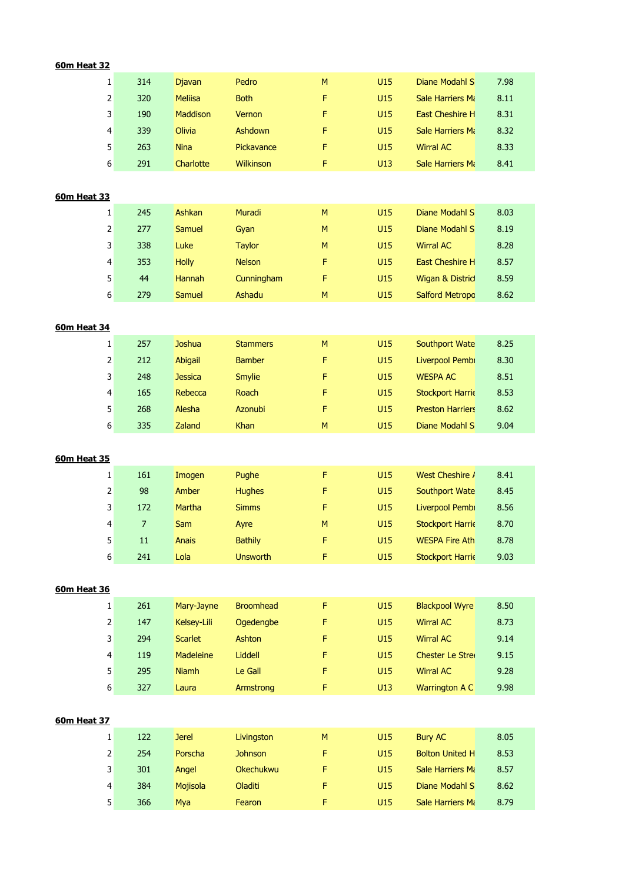# **60m Heat 32**

| 1 | 314 | <b>Djavan</b>  | Pedro       | M  | U <sub>15</sub> | Diane Modahl S           | 7.98 |  |
|---|-----|----------------|-------------|----|-----------------|--------------------------|------|--|
| 2 | 320 | <b>Meliisa</b> | <b>Both</b> | F  | U <sub>15</sub> | Sale Harriers Ma         | 8.11 |  |
| 3 | 190 | Maddison       | Vernon      | F. | U <sub>15</sub> | <b>East Cheshire H</b>   | 8.31 |  |
| 4 | 339 | <b>Olivia</b>  | Ashdown     | F. | U <sub>15</sub> | <b>Sale Harriers Man</b> | 8.32 |  |
| 5 | 263 | <b>Nina</b>    | Pickavance  | F  | U <sub>15</sub> | <b>Wirral AC</b>         | 8.33 |  |
| 6 | 291 | Charlotte      | Wilkinson   | F  | U13             | <b>Sale Harriers Man</b> | 8.41 |  |

#### **60m Heat 33**

|   | 245 | Ashkan        | Muradi        | M | U <sub>15</sub> | Diane Modahl S         | 8.03 |  |
|---|-----|---------------|---------------|---|-----------------|------------------------|------|--|
| 2 | 277 | Samuel        | Gvan          | M | U15             | Diane Modahl S         | 8.19 |  |
| 3 | 338 | Luke          | <b>Taylor</b> | M | U <sub>15</sub> | <b>Wirral AC</b>       | 8.28 |  |
| 4 | 353 | <b>Holly</b>  | <b>Nelson</b> | F | U <sub>15</sub> | <b>East Cheshire H</b> | 8.57 |  |
| 5 | 44  | <b>Hannah</b> | Cunningham    | F | U <sub>15</sub> | Wigan & Distric        | 8.59 |  |
| 6 | 279 | Samuel        | Ashadu        | M | U15             | <b>Salford Metropo</b> | 8.62 |  |

# **60m Heat 34**

| 1 | 257 | Joshua         | <b>Stammers</b> | M  | U15 | Southport Wate          | 8.25 |
|---|-----|----------------|-----------------|----|-----|-------------------------|------|
| 2 | 212 | Abigail        | <b>Bamber</b>   | F. | U15 | Liverpool Pembi         | 8.30 |
| 3 | 248 | <b>Jessica</b> | <b>Smylie</b>   | F. | U15 | <b>WESPA AC</b>         | 8.51 |
| 4 | 165 | Rebecca        | Roach           | F. | U15 | <b>Stockport Harrie</b> | 8.53 |
| 5 | 268 | Alesha         | <b>Azonubi</b>  | F. | U15 | <b>Preston Harriers</b> | 8.62 |
| 6 | 335 | <b>Zaland</b>  | <b>Khan</b>     | M  | U15 | Diane Modahl S          | 9.04 |

#### **60m Heat 35**

| 1 | 161 | Imogen       | Pughe           | F. | U15 | West Cheshire /         | 8.41 |
|---|-----|--------------|-----------------|----|-----|-------------------------|------|
| 2 | 98  | Amber        | <b>Hughes</b>   | Е  | U15 | Southport Wate          | 8.45 |
| 3 | 172 | Martha       | <b>Simms</b>    | F  | U15 | Liverpool Pembi         | 8.56 |
| 4 |     | <b>Sam</b>   | Ayre            | M  | U15 | <b>Stockport Harrie</b> | 8.70 |
| 5 | 11  | <b>Anais</b> | <b>Bathily</b>  | F  | U15 | <b>WESPA Fire Ath</b>   | 8.78 |
| 6 | 241 | Lola         | <b>Unsworth</b> |    | U15 | <b>Stockport Harrie</b> | 9.03 |

| <b>60m Heat 36</b> |  |
|--------------------|--|

|   | 261 | Mary-Jayne     | <b>Broomhead</b> | F | U15             | <b>Blackpool Wyre</b>   | 8.50 |
|---|-----|----------------|------------------|---|-----------------|-------------------------|------|
| 2 | 147 | Kelsev-Lili    | Ogedengbe        | F | U15             | <b>Wirral AC</b>        | 8.73 |
| 3 | 294 | <b>Scarlet</b> | Ashton           | F | U <sub>15</sub> | <b>Wirral AC</b>        | 9.14 |
| 4 | 119 | Madeleine      | Liddell          | F | U <sub>15</sub> | <b>Chester Le Strei</b> | 9.15 |
| 5 | 295 | <b>Niamh</b>   | Le Gall          | F | U <sub>15</sub> | <b>Wirral AC</b>        | 9.28 |
| 6 | 327 | Laura          | Armstrong        | F | U13             | <b>Warrington A C</b>   | 9.98 |

#### **60m Heat 37**

|   | 122 | <b>Jerel</b> | Livingston       | M | U15             | Bury AC                | 8.05 |
|---|-----|--------------|------------------|---|-----------------|------------------------|------|
| 2 | 254 | Porscha      | <b>Johnson</b>   | Е | U <sub>15</sub> | <b>Bolton United H</b> | 8.53 |
| 3 | 301 | Angel        | <b>Okechukwu</b> | Е | U <sub>15</sub> | Sale Harriers Mi       | 8.57 |
| 4 | 384 | Mojisola     | Oladiti          | Е | U <sub>15</sub> | Diane Modahl S         | 8.62 |
| 5 | 366 | Mya          | Fearon           | F | U15             | Sale Harriers Ma       | 8.79 |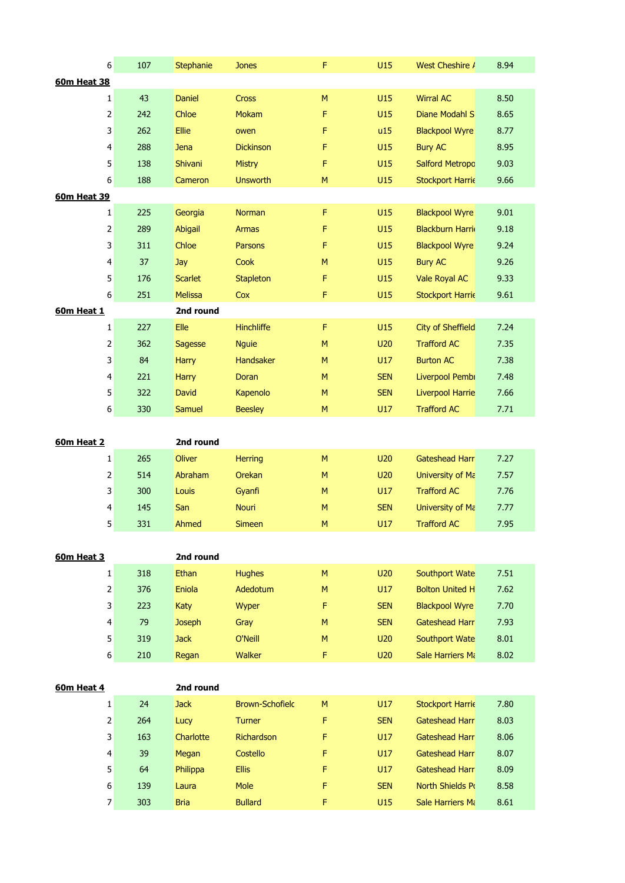|                    | 6<br>107                                 | Stephanie            | <b>Jones</b>           | F         | U15               | West Cheshire /                      | 8.94         |
|--------------------|------------------------------------------|----------------------|------------------------|-----------|-------------------|--------------------------------------|--------------|
| <b>60m Heat 38</b> |                                          |                      |                        |           |                   |                                      |              |
|                    | 43<br>$\mathbf{1}$                       | <b>Daniel</b>        | Cross                  | M         | U15               | <b>Wirral AC</b>                     | 8.50         |
|                    | $\overline{2}$<br>242                    | Chloe                | <b>Mokam</b>           | F         | U15               | Diane Modahl S                       | 8.65         |
|                    | 3<br>262                                 | Ellie                | owen                   | F         | u15               | <b>Blackpool Wyre</b>                | 8.77         |
|                    | 4<br>288                                 | Jena                 | <b>Dickinson</b>       | F         | U15               | <b>Bury AC</b>                       | 8.95         |
|                    | 5<br>138                                 | Shivani              | <b>Mistry</b>          | F         | U15               | <b>Salford Metropc</b>               | 9.03         |
|                    | 6<br>188                                 | Cameron              | <b>Unsworth</b>        | M         | U15               | <b>Stockport Harrie</b>              | 9.66         |
| <b>60m Heat 39</b> |                                          |                      |                        |           |                   |                                      |              |
|                    | $\mathbf 1$<br>225                       | Georgia              | Norman                 | F         | U15               | <b>Blackpool Wyre</b>                | 9.01         |
|                    | $\overline{2}$<br>289                    | Abigail              | <b>Armas</b>           | F         | U15               | <b>Blackburn Harri</b>               | 9.18         |
|                    | 3<br>311                                 | Chloe                | Parsons                | F         | U15               | <b>Blackpool Wyre</b>                | 9.24         |
|                    | 4<br>37                                  | Jay                  | Cook                   | M         | U15               | <b>Bury AC</b>                       | 9.26         |
|                    | 5<br>176                                 | <b>Scarlet</b>       | <b>Stapleton</b>       | F         | U15               | Vale Royal AC                        | 9.33         |
|                    | 6<br>251                                 | <b>Melissa</b>       | Cox                    | F         | U15               | <b>Stockport Harrie</b>              | 9.61         |
| 60m Heat 1         |                                          | 2nd round            |                        |           |                   |                                      |              |
|                    | 227<br>$\mathbf{1}$                      | Elle                 | Hinchliffe             | F         | U15               | <b>City of Sheffield</b>             | 7.24         |
|                    | $\overline{2}$<br>362                    | Sagesse              | <b>Nguie</b>           | M         | U20               | <b>Trafford AC</b>                   | 7.35         |
|                    | 3<br>84                                  | <b>Harry</b>         | Handsaker              | ${\sf M}$ | U17               | <b>Burton AC</b>                     | 7.38         |
|                    | 221<br>$\overline{4}$                    | <b>Harry</b>         | Doran                  | M         | <b>SEN</b>        | Liverpool Pembi                      | 7.48         |
|                    | 5<br>322                                 | David                | Kapenolo               | ${\sf M}$ | <b>SEN</b>        | <b>Liverpool Harrie</b>              | 7.66         |
|                    | 6<br>330                                 | Samuel               | <b>Beesley</b>         | ${\sf M}$ | U17               | <b>Trafford AC</b>                   | 7.71         |
|                    |                                          |                      |                        |           |                   |                                      |              |
|                    |                                          |                      |                        |           |                   |                                      |              |
|                    |                                          |                      |                        |           |                   |                                      |              |
| 60m Heat 2         |                                          | 2nd round            |                        |           |                   |                                      |              |
|                    | 265<br>$\mathbf{1}$                      | Oliver               | <b>Herring</b>         | M         | U20               | Gateshead Harr                       | 7.27         |
|                    | 2<br>514                                 | Abraham              | Orekan                 | ${\sf M}$ | U20               | University of Ma                     | 7.57         |
|                    | 3<br>300                                 | Louis                | Gyanfi                 | M         | U17               | <b>Trafford AC</b>                   | 7.76         |
|                    | 4<br>145                                 | San                  | Nouri                  | M         | <b>SEN</b>        | University of Ma                     | 7.77         |
|                    | 5<br>331                                 | Ahmed                | <b>Simeen</b>          | M         | U17               | <b>Trafford AC</b>                   | 7.95         |
|                    |                                          |                      |                        |           |                   |                                      |              |
| 60m Heat 3         |                                          | 2nd round            |                        |           |                   |                                      |              |
|                    | 318<br>$\mathbf{1}$                      | Ethan                | <b>Hughes</b>          | M<br>M    | U20               | Southport Wate                       | 7.51         |
|                    | $\overline{2}$<br>376                    | Eniola               | Adedotum               |           | U17               | <b>Bolton United H</b>               | 7.62         |
|                    | $\overline{\mathbf{3}}$<br>223           | Katy                 | Wyper                  | F         | <b>SEN</b>        | <b>Blackpool Wyre</b>                | 7.70         |
|                    | $\overline{4}$<br>79                     | <b>Joseph</b>        | Gray                   | M         | <b>SEN</b>        | <b>Gateshead Harr</b>                | 7.93         |
|                    | 5 <sup>1</sup><br>319                    | <b>Jack</b>          | O'Neill                | M         | U20               | Southport Wate                       | 8.01         |
|                    | $6 \mid$<br>210                          | Regan                | Walker                 | F         | <b>U20</b>        | Sale Harriers Mi                     | 8.02         |
|                    |                                          |                      |                        |           |                   |                                      |              |
| 60m Heat 4         |                                          | 2nd round            |                        |           |                   |                                      |              |
|                    | $\mathbf{1}$<br>24                       | <b>Jack</b>          | <b>Brown-Schofield</b> | M         | U17               | <b>Stockport Harrie</b>              | 7.80         |
|                    | $\overline{2}$<br>264                    | Lucy                 | Turner                 | F         | <b>SEN</b>        | Gateshead Harr                       | 8.03         |
|                    | $\overline{\mathbf{3}}$<br>163           | Charlotte            | Richardson             | F         | U17               | Gateshead Harr                       | 8.06         |
|                    | $\overline{4}$<br>39                     | Megan                | Costello               | F         | U17               | Gateshead Harr                       | 8.07         |
|                    | 5 <sup>1</sup><br>64                     | Philippa             | <b>Ellis</b>           | F         | U17               | Gateshead Harr                       | 8.09         |
|                    | $6 \mid$<br>139<br>$\overline{7}$<br>303 | Laura<br><b>Bria</b> | Mole<br><b>Bullard</b> | F<br>F    | <b>SEN</b><br>U15 | North Shields Po<br>Sale Harriers Ma | 8.58<br>8.61 |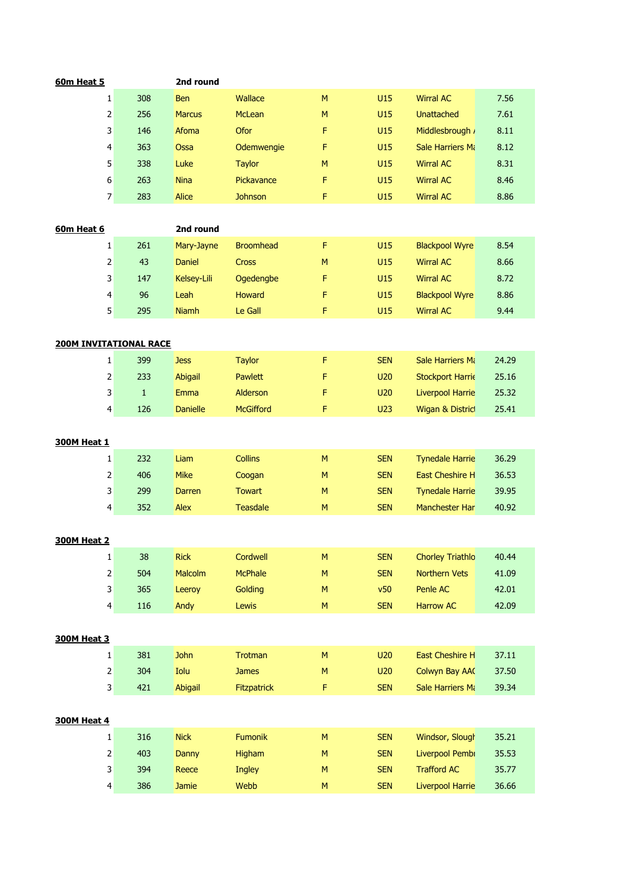| 60m Heat 5                    |                         |              | 2nd round       |                    |           |            |                         |       |
|-------------------------------|-------------------------|--------------|-----------------|--------------------|-----------|------------|-------------------------|-------|
|                               | $\mathbf{1}$            | 308          | <b>Ben</b>      | Wallace            | M         | U15        | <b>Wirral AC</b>        | 7.56  |
|                               | 2                       | 256          | <b>Marcus</b>   | McLean             | M         | U15        | <b>Unattached</b>       | 7.61  |
|                               | 3                       | 146          | Afoma           | Ofor               | F         | U15        | Middlesbrough ,         | 8.11  |
|                               | 4                       | 363          | Ossa            | Odemwengie         | F         | U15        | Sale Harriers Mi        | 8.12  |
|                               | 5                       | 338          | Luke            | <b>Taylor</b>      | M         | U15        | <b>Wirral AC</b>        | 8.31  |
|                               | 6                       | 263          | <b>Nina</b>     | Pickavance         | F         | U15        | <b>Wirral AC</b>        | 8.46  |
|                               | $\overline{7}$          | 283          | Alice           | <b>Johnson</b>     | F         | U15        | <b>Wirral AC</b>        | 8.86  |
|                               |                         |              |                 |                    |           |            |                         |       |
| 60m Heat 6                    |                         |              | 2nd round       |                    |           |            |                         |       |
|                               | $\mathbf{1}$            | 261          | Mary-Jayne      | <b>Broomhead</b>   | F         | U15        | <b>Blackpool Wyre</b>   | 8.54  |
|                               | $\mathbf{2}$            | 43           | <b>Daniel</b>   | Cross              | M         | U15        | <b>Wirral AC</b>        | 8.66  |
|                               | 3                       | 147          | Kelsey-Lili     | Ogedengbe          | F         | U15        | <b>Wirral AC</b>        | 8.72  |
|                               | $\overline{\mathbf{4}}$ | 96           | Leah            | Howard             | F         | U15        | <b>Blackpool Wyre</b>   | 8.86  |
|                               | 5 <sup>1</sup>          | 295          | <b>Niamh</b>    | Le Gall            | F         | U15        | <b>Wirral AC</b>        | 9.44  |
|                               |                         |              |                 |                    |           |            |                         |       |
| <b>200M INVITATIONAL RACE</b> |                         |              |                 |                    |           |            |                         |       |
|                               | 1                       | 399          | <b>Jess</b>     | <b>Taylor</b>      | F         | <b>SEN</b> | Sale Harriers Mi        | 24.29 |
|                               | $\mathbf{2}$            | 233          | Abigail         | Pawlett            | F         | U20        | <b>Stockport Harrie</b> | 25.16 |
|                               | 3                       | $\mathbf{1}$ | Emma            | Alderson           | F         | U20        | <b>Liverpool Harrie</b> | 25.32 |
|                               | 4                       | 126          | <b>Danielle</b> | <b>McGifford</b>   | F         | <b>U23</b> | Wigan & Distric         | 25.41 |
|                               |                         |              |                 |                    |           |            |                         |       |
| <b>300M Heat 1</b>            |                         |              |                 |                    |           |            |                         |       |
|                               | $\mathbf{1}$            | 232          | Liam            | <b>Collins</b>     | M         | <b>SEN</b> | <b>Tynedale Harrie</b>  | 36.29 |
|                               | $\mathbf{2}$            | 406          | <b>Mike</b>     | Coogan             | M         | <b>SEN</b> | <b>East Cheshire H</b>  | 36.53 |
|                               | 3                       | 299          | <b>Darren</b>   | <b>Towart</b>      | M         | <b>SEN</b> | <b>Tynedale Harrie</b>  | 39.95 |
|                               | $\overline{4}$          | 352          | Alex            | <b>Teasdale</b>    | M         | <b>SEN</b> | Manchester Har          | 40.92 |
|                               |                         |              |                 |                    |           |            |                         |       |
| <b>300M Heat 2</b>            |                         |              |                 |                    |           |            |                         |       |
|                               | $\mathbf{1}$            | 38           | <b>Rick</b>     | Cordwell           | M         | <b>SEN</b> | <b>Chorley Triathlo</b> | 40.44 |
|                               | $\mathbf{2}$            | 504          | Malcolm         | <b>McPhale</b>     | M         | <b>SEN</b> | Northern Vets           | 41.09 |
|                               | $\overline{\mathbf{3}}$ | 365          | Leeroy          | Golding            | ${\sf M}$ | v50        | Penle AC                | 42.01 |
|                               | $\overline{4}$          | 116          | Andy            | Lewis              | M         | <b>SEN</b> | <b>Harrow AC</b>        | 42.09 |
|                               |                         |              |                 |                    |           |            |                         |       |
| <b>300M Heat 3</b>            |                         |              |                 |                    |           |            |                         |       |
|                               | $\mathbf{1}$            | 381          | <b>John</b>     | Trotman            | ${\sf M}$ | U20        | East Cheshire H         | 37.11 |
|                               | $\overline{2}$          | 304          | Iolu            | <b>James</b>       | M         | <b>U20</b> | Colwyn Bay AA           | 37.50 |
|                               | $\mathsf{3}$            | 421          | Abigail         | <b>Fitzpatrick</b> | F         | <b>SEN</b> | Sale Harriers Ma        | 39.34 |
|                               |                         |              |                 |                    |           |            |                         |       |
| <b>300M Heat 4</b>            |                         |              |                 |                    |           |            |                         |       |
|                               | $\mathbf{1}$            | 316          | <b>Nick</b>     | Fumonik            | ${\sf M}$ | <b>SEN</b> | Windsor, Slough         | 35.21 |
|                               | $\mathbf{2}$            | 403          | Danny           | Higham             | M         | <b>SEN</b> | Liverpool Pembi         | 35.53 |
|                               | $\mathsf{3}$            | 394          | Reece           | <b>Ingley</b>      | M         | <b>SEN</b> | <b>Trafford AC</b>      | 35.77 |
|                               | $\overline{4}$          | 386          | Jamie           | Webb               | ${\sf M}$ | <b>SEN</b> | <b>Liverpool Harrie</b> | 36.66 |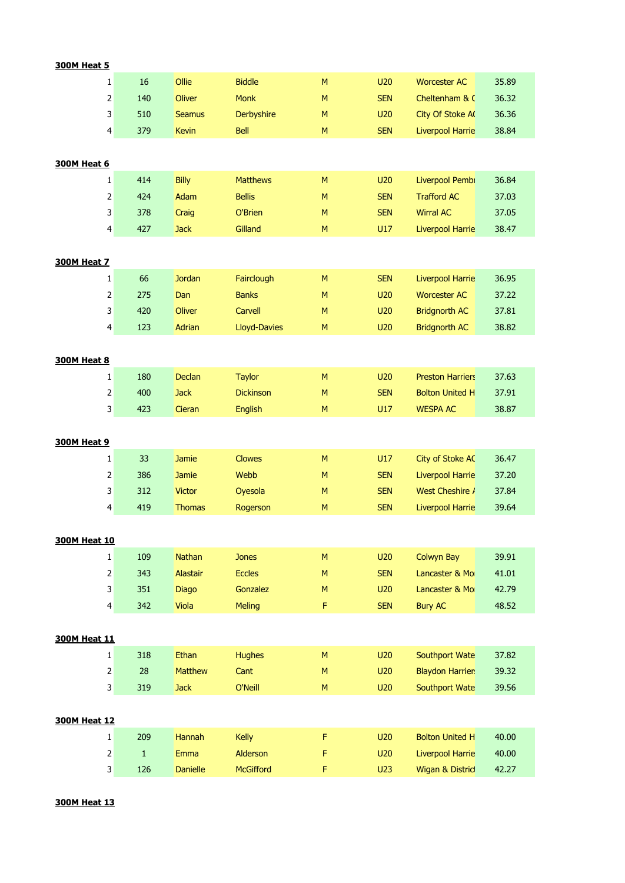| <b>300M Heat 5</b>  |                                                                                                                         |                 |                     |           |            |                         |       |
|---------------------|-------------------------------------------------------------------------------------------------------------------------|-----------------|---------------------|-----------|------------|-------------------------|-------|
|                     | 16<br>1                                                                                                                 | Ollie           | <b>Biddle</b>       | M         | U20        | <b>Worcester AC</b>     | 35.89 |
|                     | 140<br>2                                                                                                                | <b>Oliver</b>   | <b>Monk</b>         | ${\sf M}$ | <b>SEN</b> | Cheltenham & C          | 36.32 |
|                     | 3<br>510                                                                                                                | <b>Seamus</b>   | Derbyshire          | M         | U20        | City Of Stoke A         | 36.36 |
|                     | 4<br>379                                                                                                                | <b>Kevin</b>    | Bell                | M         | <b>SEN</b> | Liverpool Harrie        | 38.84 |
|                     |                                                                                                                         |                 |                     |           |            |                         |       |
| <b>300M Heat 6</b>  | $\mathbf{1}$<br>414                                                                                                     | <b>Billy</b>    | <b>Matthews</b>     | M         | U20        | Liverpool Pembi         | 36.84 |
|                     | 424                                                                                                                     | Adam            | <b>Bellis</b>       | M         | <b>SEN</b> | <b>Trafford AC</b>      | 37.03 |
|                     | 2<br>378                                                                                                                |                 | O'Brien             | M         | <b>SEN</b> | <b>Wirral AC</b>        | 37.05 |
|                     | 3<br>427                                                                                                                | Craig           | Gilland             | ${\sf M}$ | U17        | <b>Liverpool Harrie</b> | 38.47 |
|                     | 4                                                                                                                       | <b>Jack</b>     |                     |           |            |                         |       |
| <b>300M Heat 7</b>  |                                                                                                                         |                 |                     |           |            |                         |       |
|                     | 66<br>$\mathbf{1}$                                                                                                      | <b>Jordan</b>   | Fairclough          | M         | <b>SEN</b> | <b>Liverpool Harrie</b> | 36.95 |
| $\mathsf 2$         | 275                                                                                                                     | Dan             | <b>Banks</b>        | M         | U20        | <b>Worcester AC</b>     | 37.22 |
| 3                   | 420                                                                                                                     | <b>Oliver</b>   | Carvell             | M         | U20        | <b>Bridgnorth AC</b>    | 37.81 |
|                     | 4<br>123                                                                                                                | Adrian          | <b>Lloyd-Davies</b> | ${\sf M}$ | U20        | <b>Bridgnorth AC</b>    | 38.82 |
|                     |                                                                                                                         |                 |                     |           |            |                         |       |
| <b>300M Heat 8</b>  |                                                                                                                         |                 |                     |           |            |                         |       |
|                     | 180<br>$\mathbf{1}$                                                                                                     | Declan          | <b>Taylor</b>       | M         | U20        | <b>Preston Harriers</b> | 37.63 |
|                     | $\mathsf{2}\!\!\:\mathsf{1}\!\!\:\mathsf{2}\!\!\:\mathsf{1}\!\!\:\mathsf{3}\mathsf{2}\!\!\:\mathsf{4}\mathsf{3}$<br>400 | <b>Jack</b>     | <b>Dickinson</b>    | M         | <b>SEN</b> | <b>Bolton United H</b>  | 37.91 |
|                     | 3<br>423                                                                                                                | Cieran          | English             | M         | U17        | <b>WESPA AC</b>         | 38.87 |
|                     |                                                                                                                         |                 |                     |           |            |                         |       |
| <b>300M Heat 9</b>  |                                                                                                                         |                 |                     |           |            |                         |       |
|                     | 33<br>$\mathbf{1}$                                                                                                      | <b>Jamie</b>    | <b>Clowes</b>       | M         | U17        | <b>City of Stoke AC</b> | 36.47 |
|                     | $\overline{2}$<br>386                                                                                                   | <b>Jamie</b>    | Webb                | M         | <b>SEN</b> | Liverpool Harrie        | 37.20 |
|                     | 3<br>312                                                                                                                | <b>Victor</b>   | Oyesola             | M         | <b>SEN</b> | West Cheshire /         | 37.84 |
|                     | 4<br>419                                                                                                                | <b>Thomas</b>   | Rogerson            | M         | <b>SEN</b> | <b>Liverpool Harrie</b> | 39.64 |
|                     |                                                                                                                         |                 |                     |           |            |                         |       |
| 300M Heat 10        |                                                                                                                         |                 |                     |           |            |                         |       |
|                     | $1\vert$<br>109                                                                                                         | Nathan          | <b>Jones</b>        | M         | U20        | <b>Colwyn Bay</b>       | 39.91 |
|                     | $\overline{2}$<br>343                                                                                                   | <b>Alastair</b> | <b>Eccles</b>       | ${\sf M}$ | <b>SEN</b> | Lancaster & Mo          | 41.01 |
|                     | 3<br>351                                                                                                                | <b>Diago</b>    | Gonzalez            | M         | U20        | Lancaster & Mo          | 42.79 |
|                     | 4<br>342                                                                                                                | Viola           | <b>Meling</b>       | F         | <b>SEN</b> | <b>Bury AC</b>          | 48.52 |
| <b>300M Heat 11</b> |                                                                                                                         |                 |                     |           |            |                         |       |
|                     | $\mathbf{1}$<br>318                                                                                                     | Ethan           | <b>Hughes</b>       | ${\sf M}$ | U20        | <b>Southport Wate</b>   | 37.82 |
|                     | $\overline{2}$<br>28                                                                                                    | <b>Matthew</b>  | Cant                | M         | U20        | <b>Blaydon Harrier</b>  | 39.32 |
|                     | 3<br>319                                                                                                                | <b>Jack</b>     | O'Neill             | M         | U20        | <b>Southport Wate</b>   | 39.56 |
|                     |                                                                                                                         |                 |                     |           |            |                         |       |
| <b>300M Heat 12</b> |                                                                                                                         |                 |                     |           |            |                         |       |
|                     | 209<br>$\mathbf{1}$                                                                                                     | Hannah          | Kelly               | F         | U20        | <b>Bolton United H</b>  | 40.00 |
|                     | $\overline{2}$<br>$\mathbf{1}$                                                                                          | Emma            | Alderson            | F         | U20        | Liverpool Harrie        | 40.00 |
|                     | $\overline{\mathbf{3}}$<br>126                                                                                          | <b>Danielle</b> | <b>McGifford</b>    | F.        | <b>U23</b> | Wigan & Distric         | 42.27 |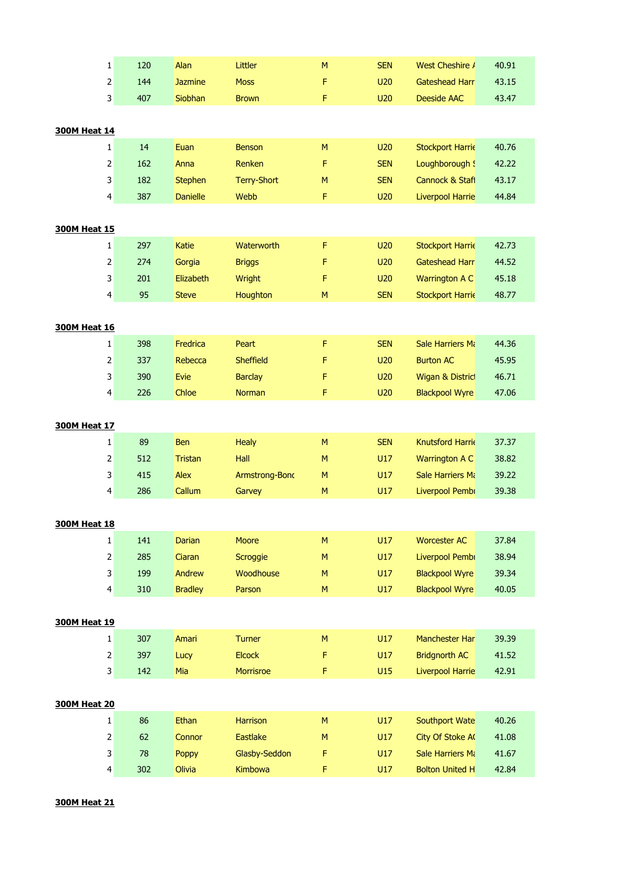| $\mathbf{1}$                                                                                                     | 120 | Alan            | Littler          | M         | <b>SEN</b> | West Cheshire /         | 40.91 |
|------------------------------------------------------------------------------------------------------------------|-----|-----------------|------------------|-----------|------------|-------------------------|-------|
| $\overline{2}$                                                                                                   | 144 | <b>Jazmine</b>  | <b>Moss</b>      | F         | U20        | <b>Gateshead Harr</b>   | 43.15 |
| $\overline{\mathbf{3}}$                                                                                          | 407 | Siobhan         | <b>Brown</b>     | F         | U20        | <b>Deeside AAC</b>      | 43.47 |
|                                                                                                                  |     |                 |                  |           |            |                         |       |
| <b>300M Heat 14</b>                                                                                              |     |                 |                  |           |            |                         |       |
| $\mathbf{1}$                                                                                                     | 14  | Euan            | <b>Benson</b>    | M         | U20        | <b>Stockport Harrie</b> | 40.76 |
| $\mathsf{2}\!\!\:\mathsf{1}\!\!\:\mathsf{2}\!\!\:\mathsf{1}\!\!\:\mathsf{3}\mathsf{2}\!\!\:\mathsf{4}\mathsf{3}$ | 162 | Anna            | Renken           | F         | <b>SEN</b> | Loughborough !          | 42.22 |
| 3                                                                                                                | 182 | <b>Stephen</b>  | Terry-Short      | M         | <b>SEN</b> | Cannock & Stafl         | 43.17 |
| 4                                                                                                                | 387 | <b>Danielle</b> | Webb             | F         | U20        | <b>Liverpool Harrie</b> | 44.84 |
|                                                                                                                  |     |                 |                  |           |            |                         |       |
| <b>300M Heat 15</b>                                                                                              |     |                 |                  |           |            |                         |       |
| $\mathbf{1}$                                                                                                     | 297 | Katie           | Waterworth       | F         | U20        | <b>Stockport Harrie</b> | 42.73 |
| $\overline{2}$                                                                                                   | 274 | Gorgia          | <b>Briggs</b>    | F         | U20        | Gateshead Harr          | 44.52 |
| 3                                                                                                                | 201 | Elizabeth       | Wright           | F         | U20        | Warrington A C          | 45.18 |
| $\overline{4}$                                                                                                   | 95  | <b>Steve</b>    | Houghton         | M         | <b>SEN</b> | <b>Stockport Harrie</b> | 48.77 |
|                                                                                                                  |     |                 |                  |           |            |                         |       |
| <b>300M Heat 16</b>                                                                                              |     |                 |                  |           |            |                         |       |
| $\mathbf{1}$                                                                                                     | 398 | Fredrica        | Peart            | F         | <b>SEN</b> | Sale Harriers Mi        | 44.36 |
| $\overline{2}$                                                                                                   | 337 | Rebecca         | <b>Sheffield</b> | F         | U20        | <b>Burton AC</b>        | 45.95 |
| 3                                                                                                                | 390 | Evie            | <b>Barclay</b>   | F         | U20        | Wigan & District        | 46.71 |
| 4                                                                                                                | 226 | Chloe           | Norman           | F         | U20        | <b>Blackpool Wyre</b>   | 47.06 |
|                                                                                                                  |     |                 |                  |           |            |                         |       |
| <b>300M Heat 17</b>                                                                                              |     |                 |                  |           |            |                         |       |
| $\mathbf{1}$                                                                                                     | 89  | <b>Ben</b>      | <b>Healy</b>     | ${\sf M}$ | <b>SEN</b> | Knutsford Harrie        | 37.37 |
| $\overline{2}$                                                                                                   | 512 | <b>Tristan</b>  | Hall             | M         | U17        | Warrington A C          | 38.82 |
| 3                                                                                                                | 415 | Alex            | Armstrong-Bond   | M         | U17        | <b>Sale Harriers Ma</b> | 39.22 |
| $\overline{4}$                                                                                                   | 286 | Callum          | Garvey           | ${\sf M}$ | U17        | Liverpool Pembi         | 39.38 |
|                                                                                                                  |     |                 |                  |           |            |                         |       |
| <b>300M Heat 18</b>                                                                                              |     |                 |                  |           |            |                         |       |
| $\mathbf{1}$                                                                                                     | 141 | <b>Darian</b>   | Moore            | M         | U17        | <b>Worcester AC</b>     | 37.84 |
| $\mathbf{2}$                                                                                                     | 285 | Ciaran          | Scroggie         | M         | U17        | Liverpool Pembi         | 38.94 |
| $\overline{\mathbf{3}}$                                                                                          | 199 | Andrew          | Woodhouse        | ${\sf M}$ | U17        | <b>Blackpool Wyre</b>   | 39.34 |
| $\overline{4}$                                                                                                   | 310 | <b>Bradley</b>  | Parson           | ${\sf M}$ | U17        | <b>Blackpool Wyre</b>   | 40.05 |
|                                                                                                                  |     |                 |                  |           |            |                         |       |
| <b>300M Heat 19</b>                                                                                              |     |                 |                  |           |            |                         |       |
| $\mathbf{1}$                                                                                                     | 307 | Amari           | Turner           | M         | U17        | Manchester Har          | 39.39 |
| $\overline{2}$                                                                                                   | 397 | Lucy            | <b>Elcock</b>    | F         | U17        | <b>Bridgnorth AC</b>    | 41.52 |
| $\overline{\mathbf{3}}$                                                                                          | 142 | Mia             | Morrisroe        | F         | U15        | Liverpool Harrie        | 42.91 |
|                                                                                                                  |     |                 |                  |           |            |                         |       |
| <b>300M Heat 20</b>                                                                                              |     |                 |                  |           |            |                         |       |
| $\mathbf{1}$                                                                                                     | 86  | Ethan           | Harrison         | M         | U17        | <b>Southport Wate</b>   | 40.26 |
| $\overline{2}$                                                                                                   | 62  | Connor          | <b>Eastlake</b>  | M         | U17        | City Of Stoke A         | 41.08 |
| $\mathsf{3}$                                                                                                     | 78  | Poppy           | Glasby-Seddon    | F         | U17        | Sale Harriers Mi        | 41.67 |
| $\overline{4}$                                                                                                   | 302 | Olivia          | Kimbowa          | F         | U17        | <b>Bolton United H</b>  | 42.84 |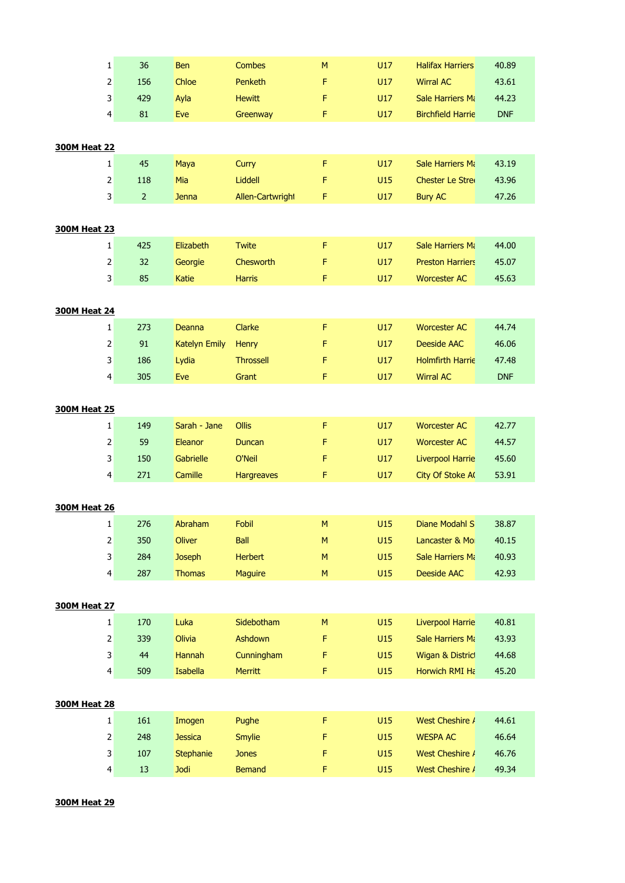| $\mathbf 1$             | 36             | Ben                  | <b>Combes</b>     | M           | U17 | <b>Halifax Harriers</b>  | 40.89      |
|-------------------------|----------------|----------------------|-------------------|-------------|-----|--------------------------|------------|
| $\mathbf 2$             | 156            | Chloe                | Penketh           | F           | U17 | <b>Wirral AC</b>         | 43.61      |
| 3                       | 429            | Ayla                 | <b>Hewitt</b>     | F           | U17 | Sale Harriers Mi         | 44.23      |
| $\overline{4}$          | 81             | Eve                  | Greenway          | F           | U17 | <b>Birchfield Harrie</b> | <b>DNF</b> |
|                         |                |                      |                   |             |     |                          |            |
| <b>300M Heat 22</b>     |                |                      |                   |             |     |                          |            |
| 1                       | 45             | Maya                 | Curry             | F           | U17 | Sale Harriers Mi         | 43.19      |
| $\mathbf 2$             | 118            | Mia                  | Liddell           | F           | U15 | <b>Chester Le Strei</b>  | 43.96      |
| 3                       | $\overline{2}$ | <b>Jenna</b>         | Allen-Cartwright  | F           | U17 | <b>Bury AC</b>           | 47.26      |
|                         |                |                      |                   |             |     |                          |            |
| <b>300M Heat 23</b>     |                |                      |                   |             |     |                          |            |
| 1                       | 425            | Elizabeth            | <b>Twite</b>      | F           | U17 | Sale Harriers Mi         | 44.00      |
| $\mathbf 2$             | 32             | Georgie              | Chesworth         | F           | U17 | <b>Preston Harriers</b>  | 45.07      |
| 3                       | 85             | Katie                | <b>Harris</b>     | F           | U17 | <b>Worcester AC</b>      | 45.63      |
|                         |                |                      |                   |             |     |                          |            |
| <b>300M Heat 24</b>     |                |                      |                   |             |     |                          |            |
| 1                       | 273            | Deanna               | Clarke            | F           | U17 | <b>Worcester AC</b>      | 44.74      |
| $\mathbf 2$             | 91             | <b>Katelyn Emily</b> | <b>Henry</b>      | F           | U17 | <b>Deeside AAC</b>       | 46.06      |
| 3                       | 186            | Lydia                | <b>Throssell</b>  | F           | U17 | <b>Holmfirth Harrie</b>  | 47.48      |
| $\overline{\mathbf{4}}$ | 305            | Eve                  | Grant             | F           | U17 | <b>Wirral AC</b>         | <b>DNF</b> |
|                         |                |                      |                   |             |     |                          |            |
| <b>300M Heat 25</b>     |                |                      |                   |             |     |                          |            |
| $\mathbf{1}$            | 149            | Sarah - Jane         | Ollis             | F           | U17 | <b>Worcester AC</b>      | 42.77      |
| 2                       | 59             | Eleanor              | <b>Duncan</b>     | F           | U17 | <b>Worcester AC</b>      | 44.57      |
| 3                       | 150            | Gabrielle            | O'Neil            | F           | U17 | <b>Liverpool Harrie</b>  | 45.60      |
| 4                       | 271            | Camille              | <b>Hargreaves</b> | F           | U17 | City Of Stoke A          | 53.91      |
|                         |                |                      |                   |             |     |                          |            |
| <b>300M Heat 26</b>     |                |                      |                   |             |     |                          |            |
| 1                       | 276            | Abraham              | Fobil             | M           | U15 | Diane Modahl S           | 38.87      |
| $\mathbf 2$             | 350            | <b>Oliver</b>        | Ball              | ${\sf M}$   | U15 | Lancaster & Mo           | 40.15      |
| 3                       | 284            | <b>Joseph</b>        | <b>Herbert</b>    | M           | U15 | Sale Harriers Mi         | 40.93      |
| $\overline{4}$          | 287            | <b>Thomas</b>        | <b>Maguire</b>    | M           | U15 | <b>Deeside AAC</b>       | 42.93      |
| <b>300M Heat 27</b>     |                |                      |                   |             |     |                          |            |
| $\mathbf 1$             | 170            | Luka                 | Sidebotham        | ${\sf M}$   | U15 | <b>Liverpool Harrie</b>  | 40.81      |
| $\mathbf 2$             | 339            | Olivia               | Ashdown           | F           | U15 | Sale Harriers Mi         | 43.93      |
| 3                       | 44             | Hannah               | Cunningham        | $\mathsf F$ | U15 | Wigan & Distric          | 44.68      |
| $\overline{\mathbf{4}}$ | 509            | Isabella             | <b>Merritt</b>    | F           | U15 | Horwich RMI Ha           | 45.20      |
|                         |                |                      |                   |             |     |                          |            |
| <b>300M Heat 28</b>     |                |                      |                   |             |     |                          |            |
| $\mathbf 1$             | 161            | Imogen               | Pughe             | F           | U15 | West Cheshire /          | 44.61      |
| $\mathbf 2$             | 248            | <b>Jessica</b>       | <b>Smylie</b>     | F           | U15 | <b>WESPA AC</b>          | 46.64      |
| 3                       | 107            | Stephanie            | <b>Jones</b>      | $\mathsf F$ | U15 | West Cheshire /          | 46.76      |
| 4                       | 13             | <b>Jodi</b>          | <b>Bemand</b>     | $\mathsf F$ | U15 | West Cheshire /          | 49.34      |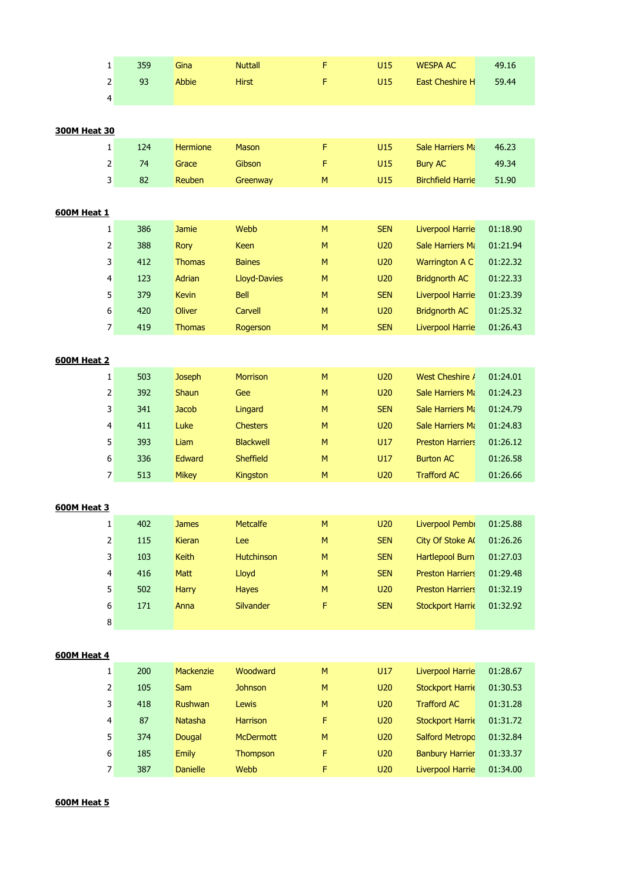|                     | 359<br>1                       | Gina            | <b>Nuttall</b>      | F         | U15        | <b>WESPA AC</b>          | 49.16    |
|---------------------|--------------------------------|-----------------|---------------------|-----------|------------|--------------------------|----------|
|                     | $\overline{2}$<br>93           | Abbie           | <b>Hirst</b>        | F         | U15        | East Cheshire H          | 59.44    |
|                     | 4                              |                 |                     |           |            |                          |          |
|                     |                                |                 |                     |           |            |                          |          |
| <b>300M Heat 30</b> |                                |                 |                     |           |            |                          |          |
|                     | 124<br>$\mathbf{1}$            | <b>Hermione</b> | <b>Mason</b>        | F         | U15        | Sale Harriers Mi         | 46.23    |
|                     | $\overline{2}$<br>74           | Grace           | Gibson              | F         | U15        | <b>Bury AC</b>           | 49.34    |
|                     | 3<br>82                        | Reuben          | Greenway            | M         | U15        | <b>Birchfield Harrie</b> | 51.90    |
|                     |                                |                 |                     |           |            |                          |          |
| <b>600M Heat 1</b>  |                                |                 |                     |           |            |                          |          |
|                     | 386<br>1                       | <b>Jamie</b>    | Webb                | M         | <b>SEN</b> | <b>Liverpool Harrie</b>  | 01:18.90 |
|                     | $\overline{\mathbf{c}}$<br>388 | Rory            | Keen                | M         | U20        | Sale Harriers Mi         | 01:21.94 |
|                     | 3<br>412                       | <b>Thomas</b>   | <b>Baines</b>       | M         | U20        | Warrington A C           | 01:22.32 |
|                     | 123<br>$\overline{\mathbf{r}}$ | Adrian          | <b>Lloyd-Davies</b> | M         | U20        | <b>Bridgnorth AC</b>     | 01:22.33 |
|                     | 5<br>379                       | <b>Kevin</b>    | <b>Bell</b>         | M         | <b>SEN</b> | <b>Liverpool Harrie</b>  | 01:23.39 |
|                     | 6<br>420                       | <b>Oliver</b>   | Carvell             | M         | U20        | <b>Bridgnorth AC</b>     | 01:25.32 |
|                     | 7<br>419                       | <b>Thomas</b>   | Rogerson            | M         | <b>SEN</b> | <b>Liverpool Harrie</b>  | 01:26.43 |
|                     |                                |                 |                     |           |            |                          |          |
| <b>600M Heat 2</b>  |                                |                 |                     |           |            |                          |          |
|                     | 503<br>$\mathbf{1}$            | <b>Joseph</b>   | <b>Morrison</b>     | M         | U20        | West Cheshire /          | 01:24.01 |
|                     | 2<br>392                       | Shaun           | Gee                 | ${\sf M}$ | U20        | Sale Harriers Mi         | 01:24.23 |
|                     | 3<br>341                       | <b>Jacob</b>    | Lingard             | M         | <b>SEN</b> | Sale Harriers Mi         | 01:24.79 |
|                     | 411<br>4                       | Luke            | <b>Chesters</b>     | M         | U20        | <b>Sale Harriers Ma</b>  | 01:24.83 |
|                     | 5<br>393                       | Liam            | <b>Blackwell</b>    | M         | U17        | <b>Preston Harriers</b>  | 01:26.12 |
|                     | $\boldsymbol{6}$<br>336        | <b>Edward</b>   | <b>Sheffield</b>    | M         | U17        | <b>Burton AC</b>         | 01:26.58 |
|                     | 7<br>513                       | <b>Mikey</b>    | <b>Kingston</b>     | M         | U20        | <b>Trafford AC</b>       | 01:26.66 |
|                     |                                |                 |                     |           |            |                          |          |
| <b>600M Heat 3</b>  |                                |                 |                     |           |            |                          |          |
|                     | 402<br>1                       | <b>James</b>    | <b>Metcalfe</b>     | M         | U20        | Liverpool Pembi          | 01:25.88 |
|                     | $\sqrt{2}$<br>115              | Kieran          | Lee                 | ${\sf M}$ | <b>SEN</b> | City Of Stoke A          | 01:26.26 |
|                     | 3<br>103                       | Keith           | <b>Hutchinson</b>   | M         | <b>SEN</b> | <b>Hartlepool Burn</b>   | 01:27.03 |
|                     | 4<br>416                       | Matt            | Lloyd               | M         | <b>SEN</b> | <b>Preston Harriers</b>  | 01:29.48 |
|                     | 5<br>502                       | Harry           | <b>Hayes</b>        | ${\sf M}$ | U20        | <b>Preston Harriers</b>  | 01:32.19 |
|                     | $\boldsymbol{6}$<br>171        | Anna            | Silvander           | F         | <b>SEN</b> | <b>Stockport Harrie</b>  | 01:32.92 |
|                     | $\bf 8$                        |                 |                     |           |            |                          |          |
|                     |                                |                 |                     |           |            |                          |          |
| <b>600M Heat 4</b>  |                                |                 |                     |           |            |                          |          |
|                     | 200<br>$\mathbf{1}$            | Mackenzie       | Woodward            | M         | U17        | <b>Liverpool Harrie</b>  | 01:28.67 |
|                     | 2<br>105                       | Sam             | <b>Johnson</b>      | ${\sf M}$ | <b>U20</b> | <b>Stockport Harrie</b>  | 01:30.53 |
|                     | 3<br>418                       | Rushwan         | Lewis               | M         | <b>U20</b> | <b>Trafford AC</b>       | 01:31.28 |
|                     | 87<br>4                        | Natasha         | <b>Harrison</b>     | F         | <b>U20</b> | <b>Stockport Harrie</b>  | 01:31.72 |
|                     | 5<br>374                       | Dougal          | <b>McDermott</b>    | M         | <b>U20</b> | <b>Salford Metropc</b>   | 01:32.84 |
|                     | $\boldsymbol{6}$<br>185        | <b>Emily</b>    | Thompson            | F         | U20        | <b>Banbury Harrier</b>   | 01:33.37 |
|                     | $\overline{7}$<br>387          | <b>Danielle</b> | Webb                | F         | U20        | <b>Liverpool Harrie</b>  | 01:34.00 |
|                     |                                |                 |                     |           |            |                          |          |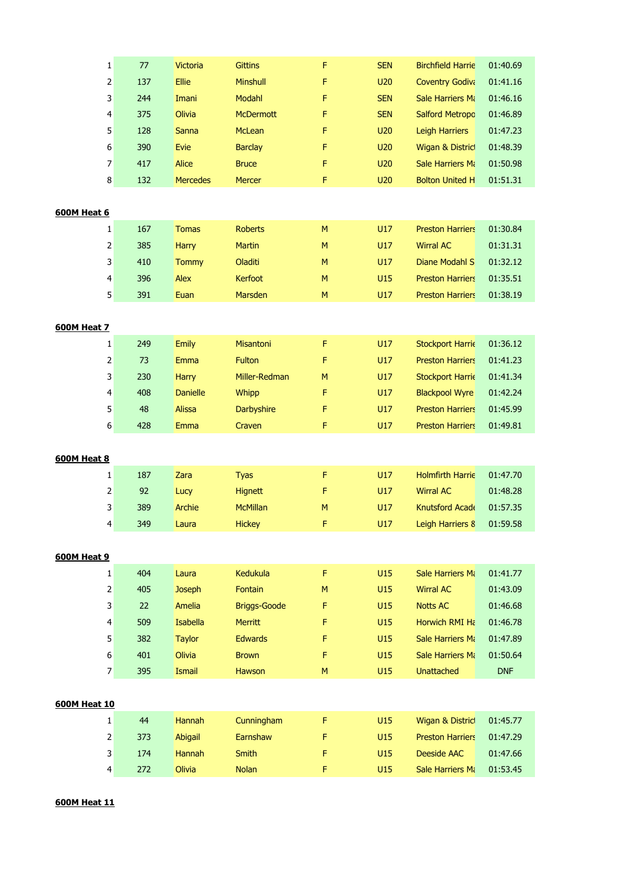| 1                   | $77$ | <b>Victoria</b> | <b>Gittins</b>      | F         | <b>SEN</b>      | <b>Birchfield Harrie</b> | 01:40.69   |
|---------------------|------|-----------------|---------------------|-----------|-----------------|--------------------------|------------|
| 2                   | 137  | <b>Ellie</b>    | Minshull            | F         | U20             | <b>Coventry Godiva</b>   | 01:41.16   |
| 3                   | 244  | Imani           | Modahl              | F         | <b>SEN</b>      | Sale Harriers Mi         | 01:46.16   |
| 4                   | 375  | Olivia          | <b>McDermott</b>    | F         | <b>SEN</b>      | <b>Salford Metropo</b>   | 01:46.89   |
| 5                   | 128  | Sanna           | McLean              | F         | U20             | <b>Leigh Harriers</b>    | 01:47.23   |
| 6                   | 390  | <b>Evie</b>     | <b>Barclay</b>      | F         | U20             | Wigan & Distric          | 01:48.39   |
| 7                   | 417  | Alice           | <b>Bruce</b>        | F         | U20             | Sale Harriers Mi         | 01:50.98   |
| 8                   | 132  | <b>Mercedes</b> | Mercer              | F         | <b>U20</b>      | <b>Bolton United H</b>   | 01:51.31   |
|                     |      |                 |                     |           |                 |                          |            |
| 600M Heat 6         |      |                 |                     |           |                 |                          |            |
| 1                   | 167  | <b>Tomas</b>    | <b>Roberts</b>      | ${\sf M}$ | U17             | <b>Preston Harriers</b>  | 01:30.84   |
| 2                   | 385  | <b>Harry</b>    | <b>Martin</b>       | ${\sf M}$ | U17             | <b>Wirral AC</b>         | 01:31.31   |
| 3                   | 410  | <b>Tommy</b>    | Oladiti             | M         | U17             | Diane Modahl S           | 01:32.12   |
| 4                   | 396  | Alex            | Kerfoot             | M         | U15             | <b>Preston Harriers</b>  | 01:35.51   |
| 5                   | 391  | Euan            | Marsden             | M         | U17             | <b>Preston Harriers</b>  | 01:38.19   |
|                     |      |                 |                     |           |                 |                          |            |
| <b>600M Heat 7</b>  |      |                 |                     |           |                 |                          |            |
| 1                   | 249  | <b>Emily</b>    | Misantoni           | F         | U17             | <b>Stockport Harrie</b>  | 01:36.12   |
| $\overline{2}$      | 73   | <b>Emma</b>     | Fulton              | F         | U17             | <b>Preston Harriers</b>  | 01:41.23   |
| 3                   | 230  | <b>Harry</b>    | Miller-Redman       | ${\sf M}$ | U17             | <b>Stockport Harrie</b>  | 01:41.34   |
| 4                   | 408  | <b>Danielle</b> | Whipp               | F         | U17             | <b>Blackpool Wyre</b>    | 01:42.24   |
| 5                   | 48   | <b>Alissa</b>   | Darbyshire          | F         | U17             | <b>Preston Harriers</b>  | 01:45.99   |
| 6                   | 428  | <b>Emma</b>     | Craven              | F         | U17             | <b>Preston Harriers</b>  | 01:49.81   |
|                     |      |                 |                     |           |                 |                          |            |
| 600M Heat 8         |      |                 |                     |           |                 |                          |            |
| 1                   | 187  | Zara            | <b>Tyas</b>         | F         | U17             | <b>Holmfirth Harrie</b>  | 01:47.70   |
| 2                   | 92   | Lucy            | <b>Hignett</b>      | F         | U17             | <b>Wirral AC</b>         | 01:48.28   |
| 3                   | 389  | <b>Archie</b>   | <b>McMillan</b>     | ${\sf M}$ | U17             | Knutsford Acade          | 01:57.35   |
| 4                   | 349  | Laura           | <b>Hickey</b>       | F         | U <sub>17</sub> | Leigh Harriers 8         | 01:59.58   |
|                     |      |                 |                     |           |                 |                          |            |
| <b>600M Heat 9</b>  |      |                 |                     |           |                 |                          |            |
| 1                   | 404  | Laura           | Kedukula            | F         | U15             | Sale Harriers Mi         | 01:41.77   |
| $\mathsf{2}\,$      | 405  | <b>Joseph</b>   | Fontain             | M         | U15             | <b>Wirral AC</b>         | 01:43.09   |
| 3                   | 22   | <b>Amelia</b>   | <b>Briggs-Goode</b> | F         | U15             | <b>Notts AC</b>          | 01:46.68   |
| 4                   | 509  | <b>Isabella</b> | <b>Merritt</b>      | F         | U15             | Horwich RMI Ha           | 01:46.78   |
| 5                   | 382  | <b>Taylor</b>   | <b>Edwards</b>      | F         | U15             | Sale Harriers Mi         | 01:47.89   |
| 6                   | 401  | Olivia          | <b>Brown</b>        | F         | U15             | Sale Harriers Mi         | 01:50.64   |
| 7                   | 395  | Ismail          | Hawson              | M         | U15             | <b>Unattached</b>        | <b>DNF</b> |
|                     |      |                 |                     |           |                 |                          |            |
| <b>600M Heat 10</b> |      |                 |                     |           |                 |                          |            |
| $\mathbf{1}$        | 44   | <b>Hannah</b>   | Cunningham          | F         | U15             | Wigan & Distric          | 01:45.77   |
| 2                   | 373  | Abigail         | Earnshaw            | F         | U15             | <b>Preston Harriers</b>  | 01:47.29   |
| 3                   | 174  | <b>Hannah</b>   | <b>Smith</b>        | F         | U15             | Deeside AAC              | 01:47.66   |
| 4                   | 272  | Olivia          | <b>Nolan</b>        | F         | U15             | Sale Harriers Mi         | 01:53.45   |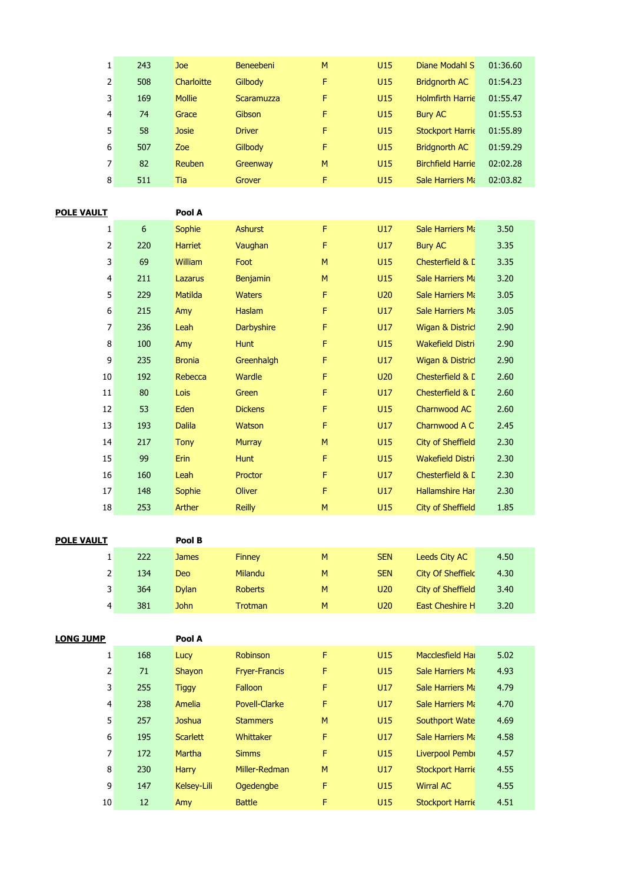| 1                 | 243 | Joe            | <b>Beneebeni</b>  | M | U15 | Diane Modahl S           | 01:36.60 |
|-------------------|-----|----------------|-------------------|---|-----|--------------------------|----------|
| 2                 | 508 | Charloitte     | Gilbody           | F | U15 | <b>Bridgnorth AC</b>     | 01:54.23 |
| 3                 | 169 | <b>Mollie</b>  | <b>Scaramuzza</b> | F | U15 | <b>Holmfirth Harrie</b>  | 01:55.47 |
| $\overline{4}$    | 74  | Grace          | Gibson            | F | U15 | <b>Bury AC</b>           | 01:55.53 |
| 5                 | 58  | <b>Josie</b>   | <b>Driver</b>     | F | U15 | <b>Stockport Harrie</b>  | 01:55.89 |
| 6                 | 507 | Zoe            | Gilbody           | F | U15 | <b>Bridgnorth AC</b>     | 01:59.29 |
| 7                 | 82  | Reuben         | Greenway          | M | U15 | <b>Birchfield Harrie</b> | 02:02.28 |
| 8                 | 511 | Tia            | Grover            | F | U15 | Sale Harriers Mi         | 02:03.82 |
|                   |     |                |                   |   |     |                          |          |
| <b>POLE VAULT</b> |     | Pool A         |                   |   |     |                          |          |
| 1                 | 6   | <b>Sophie</b>  | <b>Ashurst</b>    | F | U17 | <b>Sale Harriers Ma</b>  | 3.50     |
| 2                 | 220 | <b>Harriet</b> | Vaughan           | F | U17 | <b>Bury AC</b>           | 3.35     |
| 3                 | 69  | <b>William</b> | Foot              | M | U15 | Chesterfield & L         | 3.35     |
| $\overline{4}$    | 211 | Lazarus        | <b>Benjamin</b>   | M | U15 | Sale Harriers Mi         | 3.20     |
| 5 <sub>1</sub>    |     |                |                   |   |     |                          |          |
|                   | 229 | <b>Matilda</b> | <b>Waters</b>     | F | U20 | Sale Harriers Ma         | 3.05     |
| 6                 | 215 | Amy            | <b>Haslam</b>     | F | U17 | Sale Harriers Mi         | 3.05     |

| $\overline{4}$ | 211 | Lazarus        | <b>Benjamin</b>   | M | U <sub>15</sub> | Sale Harriers Mi            | 3.20 |
|----------------|-----|----------------|-------------------|---|-----------------|-----------------------------|------|
| 5              | 229 | <b>Matilda</b> | <b>Waters</b>     | F | U20             | Sale Harriers Mi            | 3.05 |
| 6              | 215 | Amy            | <b>Haslam</b>     | F | U17             | Sale Harriers Mi            | 3.05 |
| 7              | 236 | Leah           | <b>Darbyshire</b> | F | U17             | Wigan & Distric             | 2.90 |
| 8              | 100 | Amy            | <b>Hunt</b>       | F | U15             | Wakefield Distri            | 2.90 |
| 9              | 235 | <b>Bronia</b>  | Greenhalgh        | F | U17             | <b>Wigan &amp; District</b> | 2.90 |
| 10             | 192 | Rebecca        | Wardle            | F | U20             | Chesterfield & D            | 2.60 |
| 11             | 80  | <b>Lois</b>    | Green             | F | U17             | Chesterfield & E            | 2.60 |
| 12             | 53  | Eden           | <b>Dickens</b>    | F | U15             | Charnwood AC                | 2.60 |
| 13             | 193 | <b>Dalila</b>  | Watson            | F | U17             | Charnwood A C               | 2.45 |
| 14             | 217 | <b>Tony</b>    | <b>Murray</b>     | M | U15             | City of Sheffield           | 2.30 |
| 15             | 99  | <b>Erin</b>    | <b>Hunt</b>       | F | U15             | <b>Wakefield Distri</b>     | 2.30 |
| 16             | 160 | Leah           | Proctor           | F | U17             | Chesterfield & D            | 2.30 |
| 17             | 148 | Sophie         | <b>Oliver</b>     | F | U17             | <b>Hallamshire Har</b>      | 2.30 |
| 18             | 253 | Arther         | <b>Reilly</b>     | M | U <sub>15</sub> | City of Sheffield           | 1.85 |

| <b>POLE VAULT</b> |     | Pool B       |                |   |            |                          |      |
|-------------------|-----|--------------|----------------|---|------------|--------------------------|------|
|                   | 222 | <b>James</b> | <b>Finney</b>  | M | <b>SEN</b> | <b>Leeds City AC</b>     | 4.50 |
| 2                 | 134 | Deo          | Milandu        | M | <b>SEN</b> | <b>City Of Sheffield</b> | 4.30 |
| 3                 | 364 | <b>Dylan</b> | <b>Roberts</b> | M | <b>U20</b> | City of Sheffield        | 3.40 |
| 4                 | 381 | <b>John</b>  | <b>Trotman</b> | M | <b>U20</b> | <b>East Cheshire H</b>   | 3.20 |

| <b>LONG JUMP</b> |     | Pool A          |                      |    |     |                         |      |  |
|------------------|-----|-----------------|----------------------|----|-----|-------------------------|------|--|
| 1                | 168 | Lucy            | <b>Robinson</b>      | F. | U15 | Macclesfield Hall       | 5.02 |  |
| 2                | 71  | Shayon          | <b>Fryer-Francis</b> | F  | U15 | <b>Sale Harriers Ma</b> | 4.93 |  |
| 3                | 255 | <b>Tiggy</b>    | Falloon              | F  | U17 | Sale Harriers Mi        | 4.79 |  |
| 4                | 238 | Amelia          | <b>Povell-Clarke</b> | F  | U17 | Sale Harriers Mi        | 4.70 |  |
| 5                | 257 | Joshua          | <b>Stammers</b>      | M  | U15 | Southport Wate          | 4.69 |  |
| 6                | 195 | <b>Scarlett</b> | Whittaker            | F  | U17 | Sale Harriers Mi        | 4.58 |  |
| $\overline{7}$   | 172 | <b>Martha</b>   | <b>Simms</b>         | F  | U15 | Liverpool Pembi         | 4.57 |  |
| 8                | 230 | <b>Harry</b>    | Miller-Redman        | M  | U17 | <b>Stockport Harrie</b> | 4.55 |  |
| 9                | 147 | Kelsey-Lili     | Ogedengbe            | F  | U15 | <b>Wirral AC</b>        | 4.55 |  |
| 10               | 12  | Amy             | <b>Battle</b>        | F  | U15 | <b>Stockport Harrie</b> | 4.51 |  |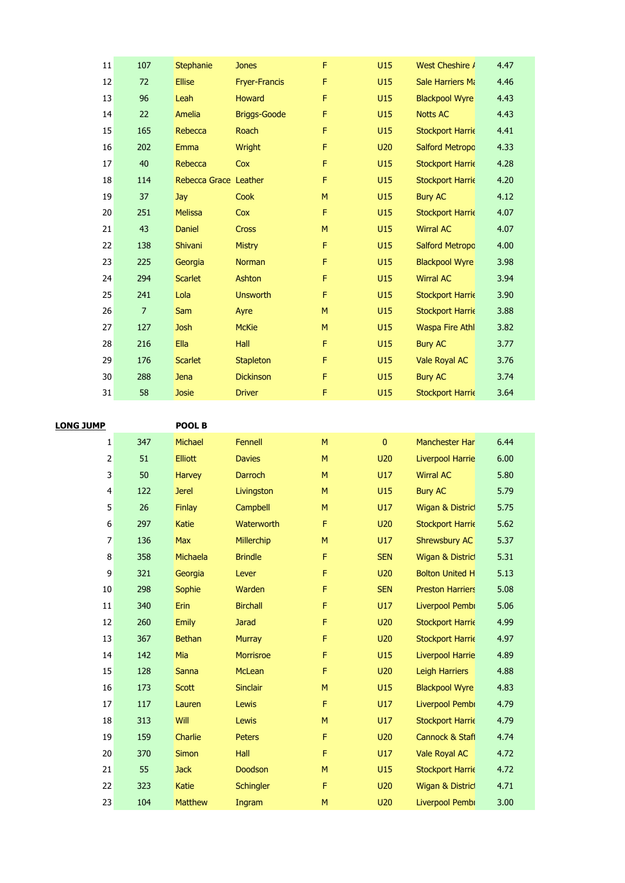| $11\,$           | 107            | <b>Stephanie</b>            | <b>Jones</b>         | F         | U15        | West Cheshire /                          | 4.47         |
|------------------|----------------|-----------------------------|----------------------|-----------|------------|------------------------------------------|--------------|
| 12               | 72             | <b>Ellise</b>               | <b>Fryer-Francis</b> | F         | U15        | Sale Harriers Mi                         | 4.46         |
| 13               | 96             | Leah                        | Howard               | F         | U15        | <b>Blackpool Wyre</b>                    | 4.43         |
| 14               | 22             | Amelia                      | <b>Briggs-Goode</b>  | F         | U15        | <b>Notts AC</b>                          | 4.43         |
| 15               | 165            | Rebecca                     | Roach                | F         | U15        | <b>Stockport Harrie</b>                  | 4.41         |
| 16               | 202            | Emma                        | Wright               | F         | U20        | <b>Salford Metropc</b>                   | 4.33         |
| 17               | 40             | Rebecca                     | Cox                  | F         | U15        | <b>Stockport Harrie</b>                  | 4.28         |
| 18               | 114            | Rebecca Grace Leather       |                      | F         | U15        | <b>Stockport Harrie</b>                  | 4.20         |
| 19               | 37             | Jay                         | Cook                 | M         | U15        | <b>Bury AC</b>                           | 4.12         |
| $20\,$           | 251            | <b>Melissa</b>              | Cox                  | F         | U15        | <b>Stockport Harrie</b>                  | 4.07         |
| 21               | 43             | Daniel                      | Cross                | ${\sf M}$ | U15        | <b>Wirral AC</b>                         | 4.07         |
| 22               | 138            | Shivani                     | <b>Mistry</b>        | F         | U15        | <b>Salford Metropc</b>                   | 4.00         |
| 23               | 225            | Georgia                     | Norman               | F         | U15        | <b>Blackpool Wyre</b>                    | 3.98         |
| 24               | 294            | <b>Scarlet</b>              | Ashton               | F         | U15        | <b>Wirral AC</b>                         | 3.94         |
| 25               | 241            | Lola                        | <b>Unsworth</b>      | F         | U15        | <b>Stockport Harrie</b>                  | 3.90         |
| 26               | $\overline{7}$ | Sam                         | Ayre                 | ${\sf M}$ | U15        | <b>Stockport Harrie</b>                  | 3.88         |
| 27               | 127            | <b>Josh</b>                 | <b>McKie</b>         | M         | U15        | <b>Waspa Fire Athl</b>                   | 3.82         |
| 28               | 216            | Ella                        | Hall                 | F         | U15        | <b>Bury AC</b>                           | 3.77         |
| 29               | 176            | <b>Scarlet</b>              | Stapleton            | F         | U15        | Vale Royal AC                            | 3.76         |
| 30               | 288            | <b>Jena</b>                 | <b>Dickinson</b>     | F         | U15        | <b>Bury AC</b>                           | 3.74         |
| 31               | 58             | <b>Josie</b>                | <b>Driver</b>        | F         | U15        | <b>Stockport Harrie</b>                  | 3.64         |
|                  |                |                             |                      |           |            |                                          |              |
| <b>LONG JUMP</b> |                | POOL B                      |                      |           |            |                                          |              |
| $\mathbf{1}$     | 347            | Michael                     | Fennell              | M         | $\pmb{0}$  | Manchester Har                           | 6.44         |
| 2                | 51             | <b>Elliott</b>              | <b>Davies</b>        | M         | U20        | <b>Liverpool Harrie</b>                  | 6.00         |
| 3                | 50             | Harvey                      | Darroch              | M         | U17        | <b>Wirral AC</b>                         | 5.80         |
| 4                | 122            | <b>Jerel</b>                | Livingston           | M         | U15        | <b>Bury AC</b>                           | 5.79         |
| 5                | 26             | <b>Finlay</b>               | Campbell             | M         | U17        | Wigan & Distric                          | 5.75         |
| 6                | 297            | Katie                       | Waterworth           | F.        | U20        | <b>Stockport Harrie</b>                  | 5.62         |
| $\overline{7}$   | 136            | Max                         | Millerchip           | ${\sf M}$ | U17        | Shrewsbury AC                            | 5.37         |
| 8                | 358            | Michaela                    | <b>Brindle</b>       | F         | <b>SEN</b> | Wigan & Distric                          | 5.31         |
| 9                | 321            | Georgia                     | Lever                | F         | U20        | <b>Bolton United H</b>                   | 5.13         |
| 10               | 298            | Sophie                      | Warden               | F         | <b>SEN</b> | <b>Preston Harriers</b>                  | 5.08         |
| $11\,$           | 340            | Erin                        | <b>Birchall</b>      | F         | U17        | Liverpool Pembi                          | 5.06         |
| 12               | 260            | Emily                       | <b>Jarad</b>         | F         | U20        | <b>Stockport Harrie</b>                  | 4.99         |
| 13               | 367            | <b>Bethan</b>               | <b>Murray</b>        | F         | U20        | <b>Stockport Harrie</b>                  | 4.97         |
| 14               | 142            | Mia                         | Morrisroe            | F         | U15        | <b>Liverpool Harrie</b>                  | 4.89         |
| 15               | 128            | Sanna                       | McLean               | F         | U20        | Leigh Harriers                           | 4.88         |
| 16               | 173            | <b>Scott</b>                | Sinclair             | ${\sf M}$ | U15        | <b>Blackpool Wyre</b>                    | 4.83         |
| $17\,$           | $117\,$        | Lauren                      | Lewis                | F         | U17<br>U17 | Liverpool Pembi                          | 4.79         |
| 18               | 313            | Will                        | Lewis                | M         |            | <b>Stockport Harrie</b>                  | 4.79         |
| 19               | 159            | Charlie                     | Peters<br>Hall       | F         | U20<br>U17 | Cannock & Stafl                          | 4.74         |
| 20<br>21         | 370<br>55      | <b>Simon</b><br><b>Jack</b> | Doodson              | F<br>M    | U15        | Vale Royal AC<br><b>Stockport Harrie</b> | 4.72<br>4.72 |
| 22               | 323            | Katie                       | Schingler            | F         | U20        | Wigan & Distric                          | 4.71         |
|                  |                |                             |                      |           |            |                                          |              |

23 104 Matthew Ingram M M U20 Liverpool Pembroke 3.00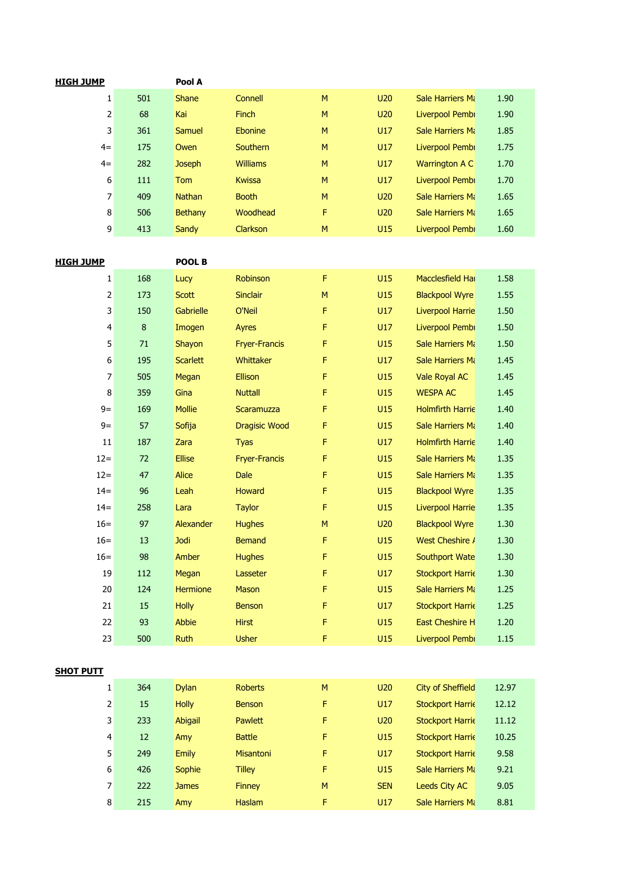| HIGH JUMP |     | Pool A         |                 |   |                 |                         |      |
|-----------|-----|----------------|-----------------|---|-----------------|-------------------------|------|
| 1         | 501 | <b>Shane</b>   | Connell         | M | U <sub>20</sub> | <b>Sale Harriers Ma</b> | 1.90 |
| 2         | 68  | Kai            | <b>Finch</b>    | M | U <sub>20</sub> | Liverpool Pembi         | 1.90 |
| 3         | 361 | Samuel         | Ebonine         | M | U17             | <b>Sale Harriers Mi</b> | 1.85 |
| $4=$      | 175 | Owen           | <b>Southern</b> | M | U17             | Liverpool Pembi         | 1.75 |
| $4=$      | 282 | <b>Joseph</b>  | <b>Williams</b> | M | U17             | Warrington A C          | 1.70 |
| 6         | 111 | <b>Tom</b>     | <b>Kwissa</b>   | M | U17             | Liverpool Pembi         | 1.70 |
| 7         | 409 | <b>Nathan</b>  | <b>Booth</b>    | M | U <sub>20</sub> | <b>Sale Harriers Ma</b> | 1.65 |
| 8         | 506 | <b>Bethany</b> | Woodhead        | F | U <sub>20</sub> | <b>Sale Harriers Mi</b> | 1.65 |
| 9         | 413 | Sandy          | <b>Clarkson</b> | M | U15             | Liverpool Pembi         | 1.60 |

| <u>HIGH JUMP</u> |         | POOL B          |                      |   |     |                         |      |
|------------------|---------|-----------------|----------------------|---|-----|-------------------------|------|
|                  |         |                 |                      | F | U15 |                         |      |
| 1                | 168     | Lucy            | Robinson             |   |     | Macclesfield Hall       | 1.58 |
| 2                | 173     | <b>Scott</b>    | <b>Sinclair</b>      | M | U15 | <b>Blackpool Wyre</b>   | 1.55 |
| 3                | 150     | Gabrielle       | O'Neil               | F | U17 | <b>Liverpool Harrie</b> | 1.50 |
| 4                | $\bf 8$ | Imogen          | Ayres                | F | U17 | Liverpool Pembi         | 1.50 |
| 5                | 71      | Shayon          | <b>Fryer-Francis</b> | F | U15 | Sale Harriers Mi        | 1.50 |
| 6                | 195     | <b>Scarlett</b> | Whittaker            | F | U17 | <b>Sale Harriers Mi</b> | 1.45 |
| 7                | 505     | Megan           | <b>Ellison</b>       | F | U15 | <b>Vale Royal AC</b>    | 1.45 |
| 8                | 359     | Gina            | <b>Nuttall</b>       | F | U15 | <b>WESPA AC</b>         | 1.45 |
| $9=$             | 169     | <b>Mollie</b>   | <b>Scaramuzza</b>    | F | U15 | <b>Holmfirth Harrie</b> | 1.40 |
| $9=$             | 57      | Sofija          | <b>Dragisic Wood</b> | F | U15 | <b>Sale Harriers Mi</b> | 1.40 |
| 11               | 187     | Zara            | <b>Tyas</b>          | F | U17 | <b>Holmfirth Harrie</b> | 1.40 |
| $12=$            | 72      | <b>Ellise</b>   | <b>Fryer-Francis</b> | F | U15 | Sale Harriers Mi        | 1.35 |
| $12=$            | 47      | <b>Alice</b>    | <b>Dale</b>          | F | U15 | Sale Harriers Mi        | 1.35 |
| $14 =$           | 96      | Leah            | <b>Howard</b>        | F | U15 | <b>Blackpool Wyre</b>   | 1.35 |
| $14=$            | 258     | Lara            | <b>Taylor</b>        | F | U15 | <b>Liverpool Harrie</b> | 1.35 |
| $16=$            | 97      | Alexander       | <b>Hughes</b>        | M | U20 | <b>Blackpool Wyre</b>   | 1.30 |
| $16=$            | 13      | <b>Jodi</b>     | <b>Bemand</b>        | F | U15 | West Cheshire /         | 1.30 |
| $16=$            | 98      | Amber           | <b>Hughes</b>        | F | U15 | <b>Southport Wate</b>   | 1.30 |
| 19               | 112     | Megan           | Lasseter             | F | U17 | <b>Stockport Harrie</b> | 1.30 |
| 20               | 124     | <b>Hermione</b> | <b>Mason</b>         | F | U15 | <b>Sale Harriers Mi</b> | 1.25 |
| 21               | 15      | <b>Holly</b>    | <b>Benson</b>        | F | U17 | <b>Stockport Harrie</b> | 1.25 |
| 22               | 93      | <b>Abbie</b>    | <b>Hirst</b>         | F | U15 | <b>East Cheshire H</b>  | 1.20 |
| 23               | 500     | <b>Ruth</b>     | <b>Usher</b>         | F | U15 | Liverpool Pembi         | 1.15 |

## **SHOT PUTT**

| 1 | 364 | <b>Dylan</b> | <b>Roberts</b>   | M | U <sub>20</sub> | City of Sheffield       | 12.97 |
|---|-----|--------------|------------------|---|-----------------|-------------------------|-------|
| 2 | 15  | <b>Holly</b> | <b>Benson</b>    | F | U17             | <b>Stockport Harrie</b> | 12.12 |
| 3 | 233 | Abigail      | <b>Pawlett</b>   | F | <b>U20</b>      | <b>Stockport Harrie</b> | 11.12 |
| 4 | 12  | Amy          | <b>Battle</b>    | F | U15             | <b>Stockport Harrie</b> | 10.25 |
| 5 | 249 | <b>Emily</b> | <b>Misantoni</b> | F | <b>U17</b>      | <b>Stockport Harrie</b> | 9.58  |
| 6 | 426 | Sophie       | <b>Tilley</b>    | F | U15             | Sale Harriers Mi        | 9.21  |
| 7 | 222 | <b>James</b> | <b>Finney</b>    | M | <b>SEN</b>      | <b>Leeds City AC</b>    | 9.05  |
| 8 | 215 | Amy          | <b>Haslam</b>    | F | U17             | Sale Harriers Mi        | 8.81  |